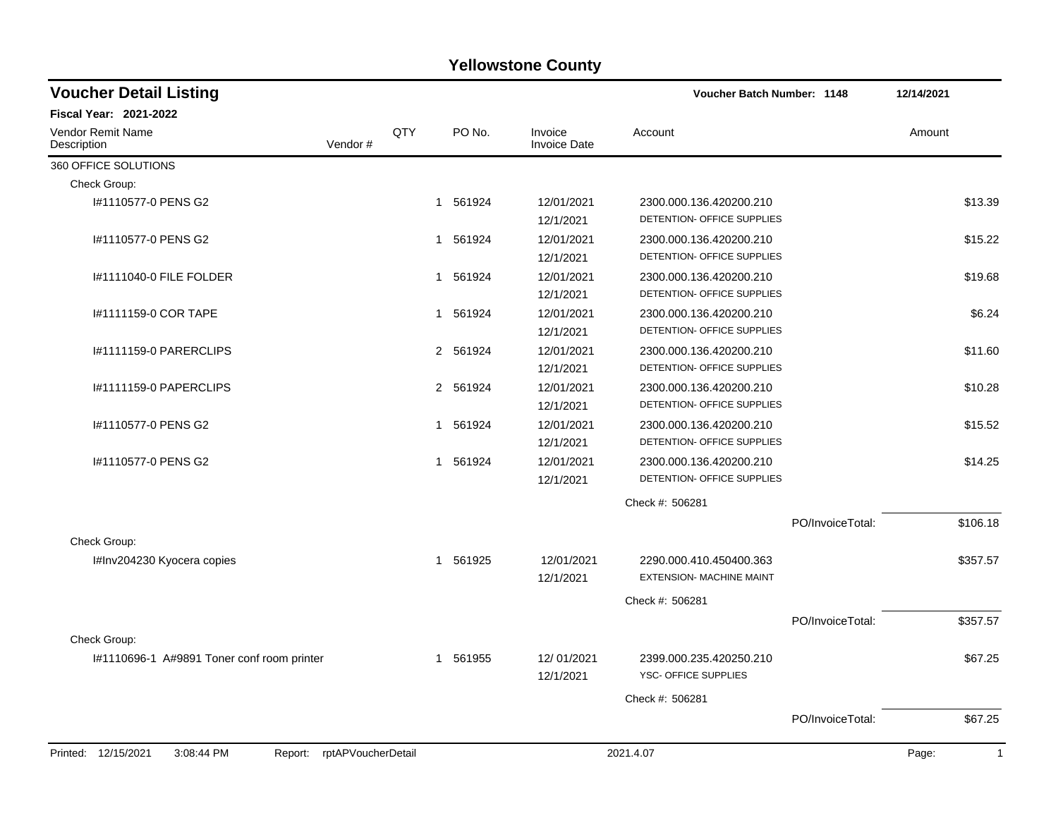| <b>Voucher Detail Listing</b>                                   |     |             |                                | Voucher Batch Number: 1148                                 |                  | 12/14/2021 |              |
|-----------------------------------------------------------------|-----|-------------|--------------------------------|------------------------------------------------------------|------------------|------------|--------------|
| <b>Fiscal Year: 2021-2022</b>                                   |     |             |                                |                                                            |                  |            |              |
| <b>Vendor Remit Name</b><br>Vendor#<br>Description              | QTY | PO No.      | Invoice<br><b>Invoice Date</b> | Account                                                    |                  | Amount     |              |
| 360 OFFICE SOLUTIONS                                            |     |             |                                |                                                            |                  |            |              |
| Check Group:                                                    |     |             |                                |                                                            |                  |            |              |
| I#1110577-0 PENS G2                                             |     | 1 561924    | 12/01/2021<br>12/1/2021        | 2300.000.136.420200.210<br>DETENTION- OFFICE SUPPLIES      |                  |            | \$13.39      |
| #1110577-0 PENS G2                                              |     | 1 561924    | 12/01/2021<br>12/1/2021        | 2300.000.136.420200.210<br>DETENTION- OFFICE SUPPLIES      |                  |            | \$15.22      |
| 1#1111040-0 FILE FOLDER                                         |     | 1 561924    | 12/01/2021<br>12/1/2021        | 2300.000.136.420200.210<br>DETENTION- OFFICE SUPPLIES      |                  |            | \$19.68      |
| I#1111159-0 COR TAPE                                            |     | 1 561924    | 12/01/2021<br>12/1/2021        | 2300.000.136.420200.210<br>DETENTION- OFFICE SUPPLIES      |                  |            | \$6.24       |
| #1111159-0 PARERCLIPS                                           |     | 2 561924    | 12/01/2021<br>12/1/2021        | 2300.000.136.420200.210<br>DETENTION- OFFICE SUPPLIES      |                  |            | \$11.60      |
| <b>I#1111159-0 PAPERCLIPS</b>                                   |     | 2 561924    | 12/01/2021<br>12/1/2021        | 2300.000.136.420200.210<br>DETENTION- OFFICE SUPPLIES      |                  |            | \$10.28      |
| #1110577-0 PENS G2                                              |     | 561924<br>1 | 12/01/2021<br>12/1/2021        | 2300.000.136.420200.210<br>DETENTION- OFFICE SUPPLIES      |                  |            | \$15.52      |
| #1110577-0 PENS G2                                              |     | 1 561924    | 12/01/2021<br>12/1/2021        | 2300.000.136.420200.210<br>DETENTION- OFFICE SUPPLIES      |                  |            | \$14.25      |
|                                                                 |     |             |                                | Check #: 506281                                            |                  |            |              |
| Check Group:                                                    |     |             |                                |                                                            | PO/InvoiceTotal: |            | \$106.18     |
| I#Inv204230 Kyocera copies                                      |     | 1 561925    | 12/01/2021<br>12/1/2021        | 2290.000.410.450400.363<br><b>EXTENSION- MACHINE MAINT</b> |                  |            | \$357.57     |
|                                                                 |     |             |                                | Check #: 506281                                            |                  |            |              |
|                                                                 |     |             |                                |                                                            | PO/InvoiceTotal: |            | \$357.57     |
| Check Group:                                                    |     |             |                                |                                                            |                  |            |              |
| I#1110696-1 A#9891 Toner conf room printer                      |     | 1 561955    | 12/01/2021<br>12/1/2021        | 2399.000.235.420250.210<br>YSC- OFFICE SUPPLIES            |                  |            | \$67.25      |
|                                                                 |     |             |                                | Check #: 506281                                            |                  |            |              |
|                                                                 |     |             |                                |                                                            | PO/InvoiceTotal: |            | \$67.25      |
| Printed: 12/15/2021<br>3:08:44 PM<br>Report: rptAPVoucherDetail |     |             |                                | 2021.4.07                                                  |                  | Page:      | $\mathbf{1}$ |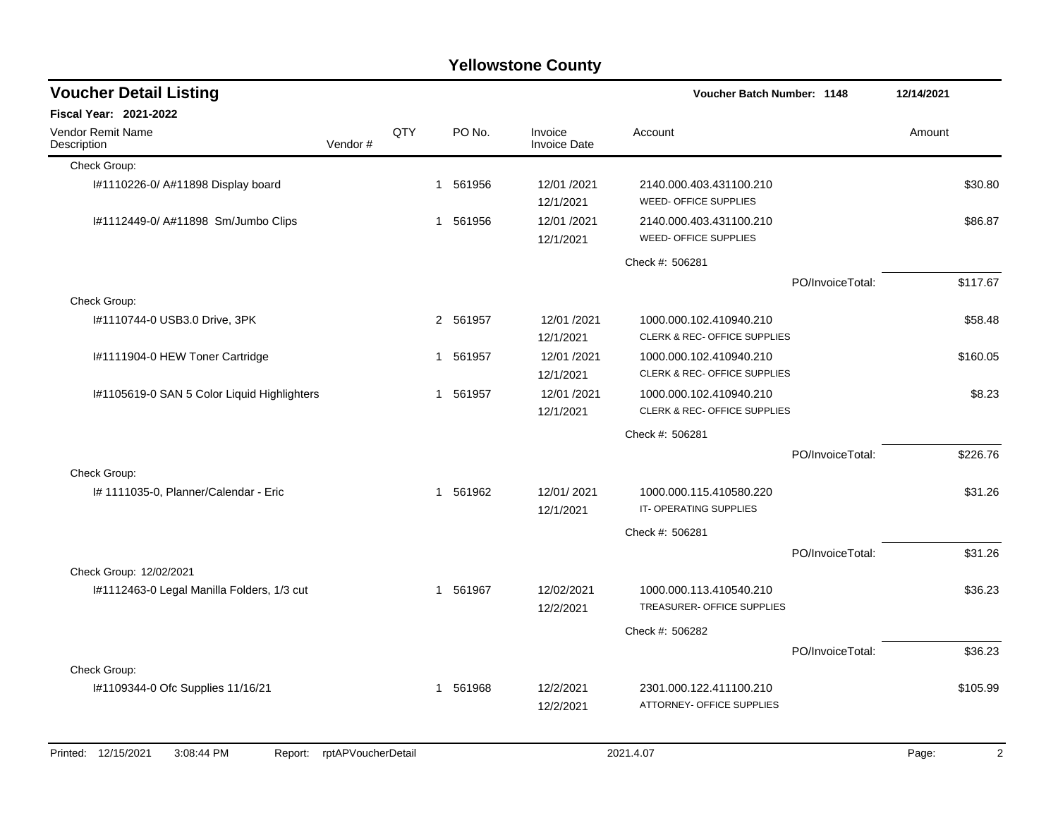| <b>Voucher Detail Listing</b>                |                    |     |              |        |                                | Voucher Batch Number: 1148                              |                  | 12/14/2021              |
|----------------------------------------------|--------------------|-----|--------------|--------|--------------------------------|---------------------------------------------------------|------------------|-------------------------|
| <b>Fiscal Year: 2021-2022</b>                |                    |     |              |        |                                |                                                         |                  |                         |
| Vendor Remit Name<br>Description             | Vendor#            | QTY |              | PO No. | Invoice<br><b>Invoice Date</b> | Account                                                 |                  | Amount                  |
| Check Group:                                 |                    |     |              |        |                                |                                                         |                  |                         |
| I#1110226-0/ A#11898 Display board           |                    |     | 1            | 561956 | 12/01 /2021<br>12/1/2021       | 2140.000.403.431100.210<br>WEED- OFFICE SUPPLIES        |                  | \$30.80                 |
| I#1112449-0/ A#11898 Sm/Jumbo Clips          |                    |     | 1            | 561956 | 12/01/2021<br>12/1/2021        | 2140.000.403.431100.210<br>WEED- OFFICE SUPPLIES        |                  | \$86.87                 |
|                                              |                    |     |              |        |                                | Check #: 506281                                         |                  |                         |
|                                              |                    |     |              |        |                                |                                                         | PO/InvoiceTotal: | \$117.67                |
| Check Group:                                 |                    |     |              |        |                                |                                                         |                  |                         |
| I#1110744-0 USB3.0 Drive, 3PK                |                    |     | 2 561957     |        | 12/01/2021<br>12/1/2021        | 1000.000.102.410940.210<br>CLERK & REC- OFFICE SUPPLIES |                  | \$58.48                 |
| I#1111904-0 HEW Toner Cartridge              |                    |     | 1            | 561957 | 12/01/2021<br>12/1/2021        | 1000.000.102.410940.210<br>CLERK & REC- OFFICE SUPPLIES |                  | \$160.05                |
| I#1105619-0 SAN 5 Color Liquid Highlighters  |                    |     | $\mathbf 1$  | 561957 | 12/01 /2021<br>12/1/2021       | 1000.000.102.410940.210<br>CLERK & REC- OFFICE SUPPLIES |                  | \$8.23                  |
|                                              |                    |     |              |        |                                | Check #: 506281                                         |                  |                         |
|                                              |                    |     |              |        |                                |                                                         | PO/InvoiceTotal: | \$226.76                |
| Check Group:                                 |                    |     |              |        |                                |                                                         |                  |                         |
| I# 1111035-0, Planner/Calendar - Eric        |                    |     | $\mathbf{1}$ | 561962 | 12/01/2021<br>12/1/2021        | 1000.000.115.410580.220<br>IT-OPERATING SUPPLIES        |                  | \$31.26                 |
|                                              |                    |     |              |        |                                | Check #: 506281                                         |                  |                         |
|                                              |                    |     |              |        |                                |                                                         | PO/InvoiceTotal: | \$31.26                 |
| Check Group: 12/02/2021                      |                    |     |              |        |                                |                                                         |                  |                         |
| I#1112463-0 Legal Manilla Folders, 1/3 cut   |                    |     | 1            | 561967 | 12/02/2021<br>12/2/2021        | 1000.000.113.410540.210<br>TREASURER- OFFICE SUPPLIES   |                  | \$36.23                 |
|                                              |                    |     |              |        |                                | Check #: 506282                                         |                  |                         |
|                                              |                    |     |              |        |                                |                                                         | PO/InvoiceTotal: | \$36.23                 |
| Check Group:                                 |                    |     |              |        |                                |                                                         |                  |                         |
| I#1109344-0 Ofc Supplies 11/16/21            |                    |     | $\mathbf{1}$ | 561968 | 12/2/2021<br>12/2/2021         | 2301.000.122.411100.210<br>ATTORNEY- OFFICE SUPPLIES    |                  | \$105.99                |
| Printed: 12/15/2021<br>3:08:44 PM<br>Report: | rptAPVoucherDetail |     |              |        |                                | 2021.4.07                                               |                  | $\overline{2}$<br>Page: |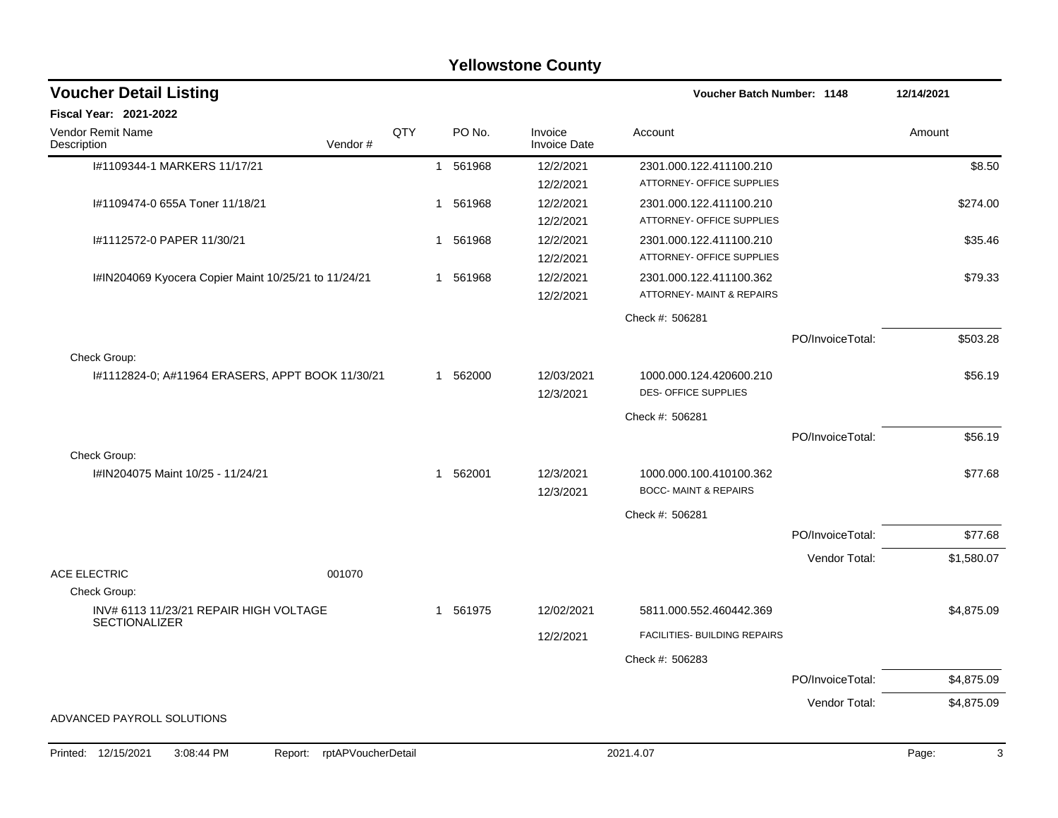|                                                                | <b>Yellowstone County</b>  |     |   |          |                                |                                   |                  |            |  |  |  |  |
|----------------------------------------------------------------|----------------------------|-----|---|----------|--------------------------------|-----------------------------------|------------------|------------|--|--|--|--|
| <b>Voucher Detail Listing</b>                                  |                            |     |   |          |                                | <b>Voucher Batch Number: 1148</b> |                  | 12/14/2021 |  |  |  |  |
| <b>Fiscal Year: 2021-2022</b>                                  |                            |     |   |          |                                |                                   |                  |            |  |  |  |  |
| Vendor Remit Name<br>Description                               | Vendor#                    | QTY |   | PO No.   | Invoice<br><b>Invoice Date</b> | Account                           |                  | Amount     |  |  |  |  |
| I#1109344-1 MARKERS 11/17/21                                   |                            |     | 1 | 561968   | 12/2/2021                      | 2301.000.122.411100.210           |                  | \$8.50     |  |  |  |  |
|                                                                |                            |     |   |          | 12/2/2021                      | ATTORNEY- OFFICE SUPPLIES         |                  |            |  |  |  |  |
| I#1109474-0 655A Toner 11/18/21                                |                            |     | 1 | 561968   | 12/2/2021                      | 2301.000.122.411100.210           |                  | \$274.00   |  |  |  |  |
|                                                                |                            |     |   |          | 12/2/2021                      | ATTORNEY- OFFICE SUPPLIES         |                  |            |  |  |  |  |
| I#1112572-0 PAPER 11/30/21                                     |                            |     | 1 | 561968   | 12/2/2021                      | 2301.000.122.411100.210           |                  | \$35.46    |  |  |  |  |
|                                                                |                            |     |   |          | 12/2/2021                      | ATTORNEY- OFFICE SUPPLIES         |                  |            |  |  |  |  |
| I#IN204069 Kyocera Copier Maint 10/25/21 to 11/24/21           |                            |     | 1 | 561968   | 12/2/2021                      | 2301.000.122.411100.362           |                  | \$79.33    |  |  |  |  |
|                                                                |                            |     |   |          | 12/2/2021                      | ATTORNEY- MAINT & REPAIRS         |                  |            |  |  |  |  |
|                                                                |                            |     |   |          |                                | Check #: 506281                   |                  |            |  |  |  |  |
|                                                                |                            |     |   |          |                                |                                   | PO/InvoiceTotal: | \$503.28   |  |  |  |  |
| Check Group:                                                   |                            |     |   |          |                                |                                   |                  |            |  |  |  |  |
| I#1112824-0; A#11964 ERASERS, APPT BOOK 11/30/21               |                            |     | 1 | 562000   | 12/03/2021                     | 1000.000.124.420600.210           |                  | \$56.19    |  |  |  |  |
|                                                                |                            |     |   |          | 12/3/2021                      | <b>DES- OFFICE SUPPLIES</b>       |                  |            |  |  |  |  |
|                                                                |                            |     |   |          |                                | Check #: 506281                   |                  |            |  |  |  |  |
|                                                                |                            |     |   |          |                                |                                   | PO/InvoiceTotal: | \$56.19    |  |  |  |  |
| Check Group:                                                   |                            |     |   |          |                                |                                   |                  |            |  |  |  |  |
| I#IN204075 Maint 10/25 - 11/24/21                              |                            |     | 1 | 562001   | 12/3/2021                      | 1000.000.100.410100.362           |                  | \$77.68    |  |  |  |  |
|                                                                |                            |     |   |          | 12/3/2021                      | <b>BOCC- MAINT &amp; REPAIRS</b>  |                  |            |  |  |  |  |
|                                                                |                            |     |   |          |                                | Check #: 506281                   |                  |            |  |  |  |  |
|                                                                |                            |     |   |          |                                |                                   | PO/InvoiceTotal: | \$77.68    |  |  |  |  |
|                                                                |                            |     |   |          |                                |                                   | Vendor Total:    | \$1,580.07 |  |  |  |  |
| <b>ACE ELECTRIC</b>                                            | 001070                     |     |   |          |                                |                                   |                  |            |  |  |  |  |
| Check Group:                                                   |                            |     |   |          |                                |                                   |                  |            |  |  |  |  |
| INV# 6113 11/23/21 REPAIR HIGH VOLTAGE<br><b>SECTIONALIZER</b> |                            |     |   | 1 561975 | 12/02/2021                     | 5811.000.552.460442.369           |                  | \$4,875.09 |  |  |  |  |
|                                                                |                            |     |   |          | 12/2/2021                      | FACILITIES- BUILDING REPAIRS      |                  |            |  |  |  |  |
|                                                                |                            |     |   |          |                                | Check #: 506283                   |                  |            |  |  |  |  |
|                                                                |                            |     |   |          |                                |                                   | PO/InvoiceTotal: | \$4,875.09 |  |  |  |  |
|                                                                |                            |     |   |          |                                |                                   | Vendor Total:    | \$4,875.09 |  |  |  |  |
| ADVANCED PAYROLL SOLUTIONS                                     |                            |     |   |          |                                |                                   |                  |            |  |  |  |  |
|                                                                |                            |     |   |          |                                |                                   |                  |            |  |  |  |  |
| Printed: 12/15/2021<br>3:08:44 PM                              | Report: rptAPVoucherDetail |     |   |          |                                | 2021.4.07                         |                  | Page:<br>3 |  |  |  |  |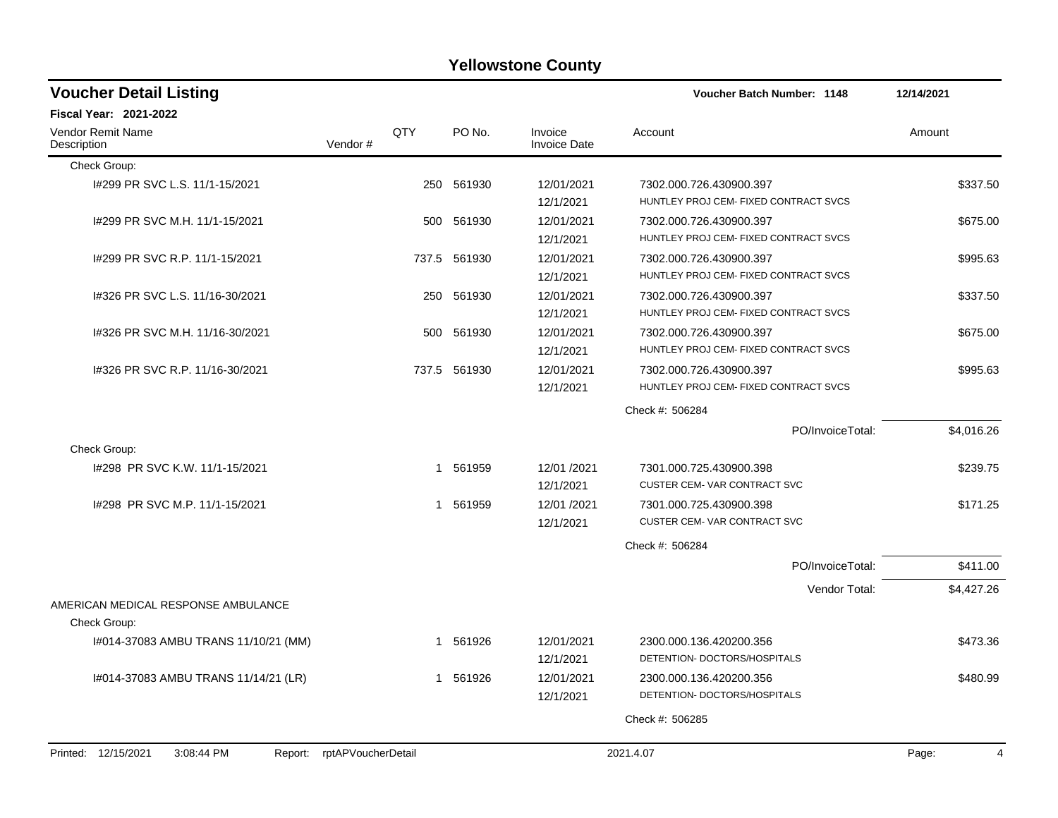| <b>Voucher Detail Listing</b>                       |                    |     |              |                                | <b>Voucher Batch Number: 1148</b>                                | 12/14/2021 |
|-----------------------------------------------------|--------------------|-----|--------------|--------------------------------|------------------------------------------------------------------|------------|
| <b>Fiscal Year: 2021-2022</b>                       |                    |     |              |                                |                                                                  |            |
| <b>Vendor Remit Name</b><br>Description             | Vendor#            | QTY | PO No.       | Invoice<br><b>Invoice Date</b> | Account                                                          | Amount     |
| Check Group:                                        |                    |     |              |                                |                                                                  |            |
| I#299 PR SVC L.S. 11/1-15/2021                      |                    |     | 250 561930   | 12/01/2021<br>12/1/2021        | 7302.000.726.430900.397<br>HUNTLEY PROJ CEM- FIXED CONTRACT SVCS | \$337.50   |
| 1#299 PR SVC M.H. 11/1-15/2021                      |                    | 500 | 561930       | 12/01/2021<br>12/1/2021        | 7302.000.726.430900.397<br>HUNTLEY PROJ CEM- FIXED CONTRACT SVCS | \$675.00   |
| I#299 PR SVC R.P. 11/1-15/2021                      |                    |     | 737.5 561930 | 12/01/2021<br>12/1/2021        | 7302.000.726.430900.397<br>HUNTLEY PROJ CEM- FIXED CONTRACT SVCS | \$995.63   |
| I#326 PR SVC L.S. 11/16-30/2021                     |                    | 250 | 561930       | 12/01/2021<br>12/1/2021        | 7302.000.726.430900.397<br>HUNTLEY PROJ CEM- FIXED CONTRACT SVCS | \$337.50   |
| 1#326 PR SVC M.H. 11/16-30/2021                     |                    | 500 | 561930       | 12/01/2021<br>12/1/2021        | 7302.000.726.430900.397<br>HUNTLEY PROJ CEM- FIXED CONTRACT SVCS | \$675.00   |
| 1#326 PR SVC R.P. 11/16-30/2021                     |                    |     | 737.5 561930 | 12/01/2021<br>12/1/2021        | 7302.000.726.430900.397<br>HUNTLEY PROJ CEM- FIXED CONTRACT SVCS | \$995.63   |
|                                                     |                    |     |              |                                | Check #: 506284                                                  |            |
|                                                     |                    |     |              |                                | PO/InvoiceTotal:                                                 | \$4,016.26 |
| Check Group:                                        |                    |     |              |                                |                                                                  |            |
| I#298 PR SVC K.W. 11/1-15/2021                      |                    |     | 1 561959     | 12/01 /2021<br>12/1/2021       | 7301.000.725.430900.398<br>CUSTER CEM-VAR CONTRACT SVC           | \$239.75   |
| 1#298 PR SVC M.P. 11/1-15/2021                      |                    |     | 1 561959     | 12/01 /2021<br>12/1/2021       | 7301.000.725.430900.398<br>CUSTER CEM-VAR CONTRACT SVC           | \$171.25   |
|                                                     |                    |     |              |                                | Check #: 506284                                                  |            |
|                                                     |                    |     |              |                                | PO/InvoiceTotal:                                                 | \$411.00   |
|                                                     |                    |     |              |                                | Vendor Total:                                                    | \$4,427.26 |
| AMERICAN MEDICAL RESPONSE AMBULANCE<br>Check Group: |                    |     |              |                                |                                                                  |            |
| 1#014-37083 AMBU TRANS 11/10/21 (MM)                |                    |     | 1 561926     | 12/01/2021<br>12/1/2021        | 2300.000.136.420200.356<br>DETENTION- DOCTORS/HOSPITALS          | \$473.36   |
| 1#014-37083 AMBU TRANS 11/14/21 (LR)                |                    |     | 1 561926     | 12/01/2021<br>12/1/2021        | 2300.000.136.420200.356<br>DETENTION- DOCTORS/HOSPITALS          | \$480.99   |
|                                                     |                    |     |              |                                | Check #: 506285                                                  |            |
|                                                     |                    |     |              |                                |                                                                  | 4          |
| Printed: 12/15/2021<br>3:08:44 PM<br>Report:        | rptAPVoucherDetail |     |              |                                | 2021.4.07                                                        | Page:      |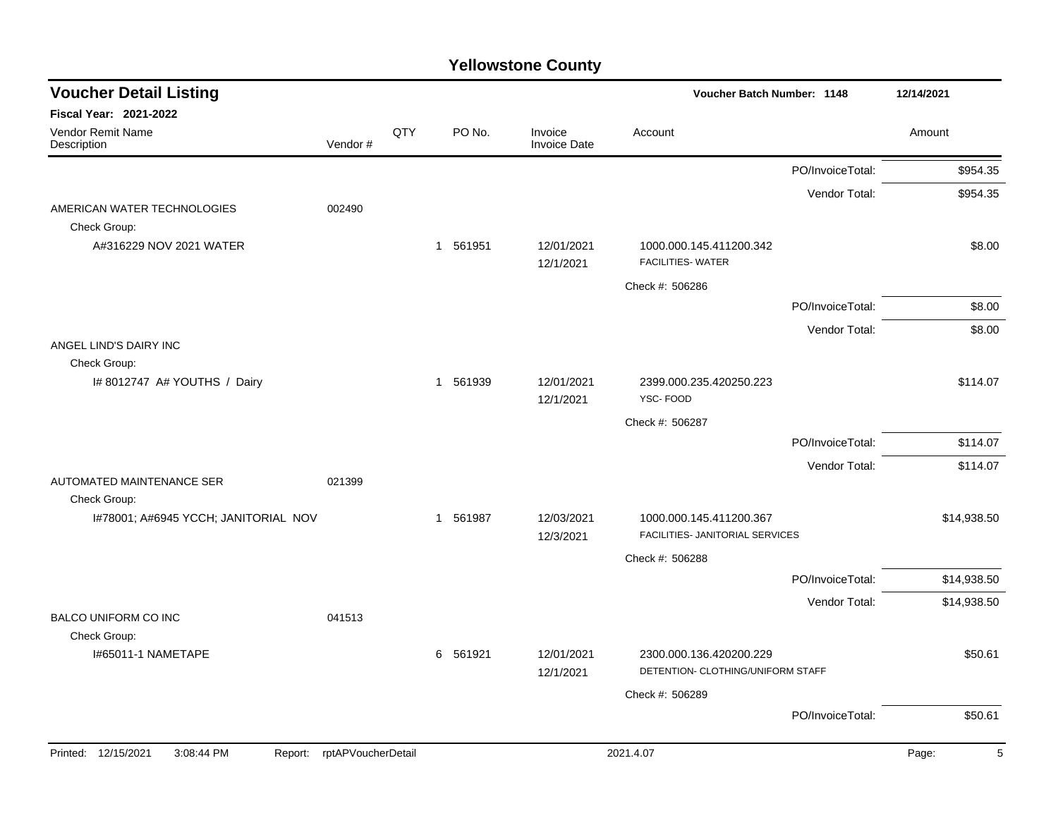| <b>Voucher Detail Listing</b>                              |                    |     |          |                                | Voucher Batch Number: 1148                                   |                  | 12/14/2021  |
|------------------------------------------------------------|--------------------|-----|----------|--------------------------------|--------------------------------------------------------------|------------------|-------------|
| Fiscal Year: 2021-2022<br>Vendor Remit Name<br>Description | Vendor#            | QTY | PO No.   | Invoice<br><b>Invoice Date</b> | Account                                                      |                  | Amount      |
|                                                            |                    |     |          |                                |                                                              |                  |             |
|                                                            |                    |     |          |                                |                                                              | PO/InvoiceTotal: | \$954.35    |
| AMERICAN WATER TECHNOLOGIES<br>Check Group:                | 002490             |     |          |                                |                                                              | Vendor Total:    | \$954.35    |
| A#316229 NOV 2021 WATER                                    |                    |     | 1 561951 | 12/01/2021<br>12/1/2021        | 1000.000.145.411200.342<br><b>FACILITIES- WATER</b>          |                  | \$8.00      |
|                                                            |                    |     |          |                                | Check #: 506286                                              |                  |             |
|                                                            |                    |     |          |                                |                                                              | PO/InvoiceTotal: | \$8.00      |
|                                                            |                    |     |          |                                |                                                              | Vendor Total:    | \$8.00      |
| ANGEL LIND'S DAIRY INC                                     |                    |     |          |                                |                                                              |                  |             |
| Check Group:<br>I# 8012747 A# YOUTHS / Dairy               |                    |     | 1 561939 | 12/01/2021<br>12/1/2021        | 2399.000.235.420250.223<br>YSC-FOOD                          |                  | \$114.07    |
|                                                            |                    |     |          |                                | Check #: 506287                                              |                  |             |
|                                                            |                    |     |          |                                |                                                              | PO/InvoiceTotal: | \$114.07    |
|                                                            |                    |     |          |                                |                                                              | Vendor Total:    | \$114.07    |
| AUTOMATED MAINTENANCE SER<br>Check Group:                  | 021399             |     |          |                                |                                                              |                  |             |
| I#78001; A#6945 YCCH; JANITORIAL NOV                       |                    |     | 1 561987 | 12/03/2021<br>12/3/2021        | 1000.000.145.411200.367<br>FACILITIES- JANITORIAL SERVICES   |                  | \$14,938.50 |
|                                                            |                    |     |          |                                | Check #: 506288                                              |                  |             |
|                                                            |                    |     |          |                                |                                                              | PO/InvoiceTotal: | \$14,938.50 |
|                                                            |                    |     |          |                                |                                                              | Vendor Total:    | \$14,938.50 |
| BALCO UNIFORM CO INC                                       | 041513             |     |          |                                |                                                              |                  |             |
| Check Group:<br>I#65011-1 NAMETAPE                         |                    |     | 6 561921 | 12/01/2021<br>12/1/2021        | 2300.000.136.420200.229<br>DETENTION- CLOTHING/UNIFORM STAFF |                  | \$50.61     |
|                                                            |                    |     |          |                                | Check #: 506289                                              |                  |             |
|                                                            |                    |     |          |                                |                                                              | PO/InvoiceTotal: | \$50.61     |
| Printed: 12/15/2021<br>3:08:44 PM<br>Report:               | rptAPVoucherDetail |     |          |                                | 2021.4.07                                                    |                  | 5<br>Page:  |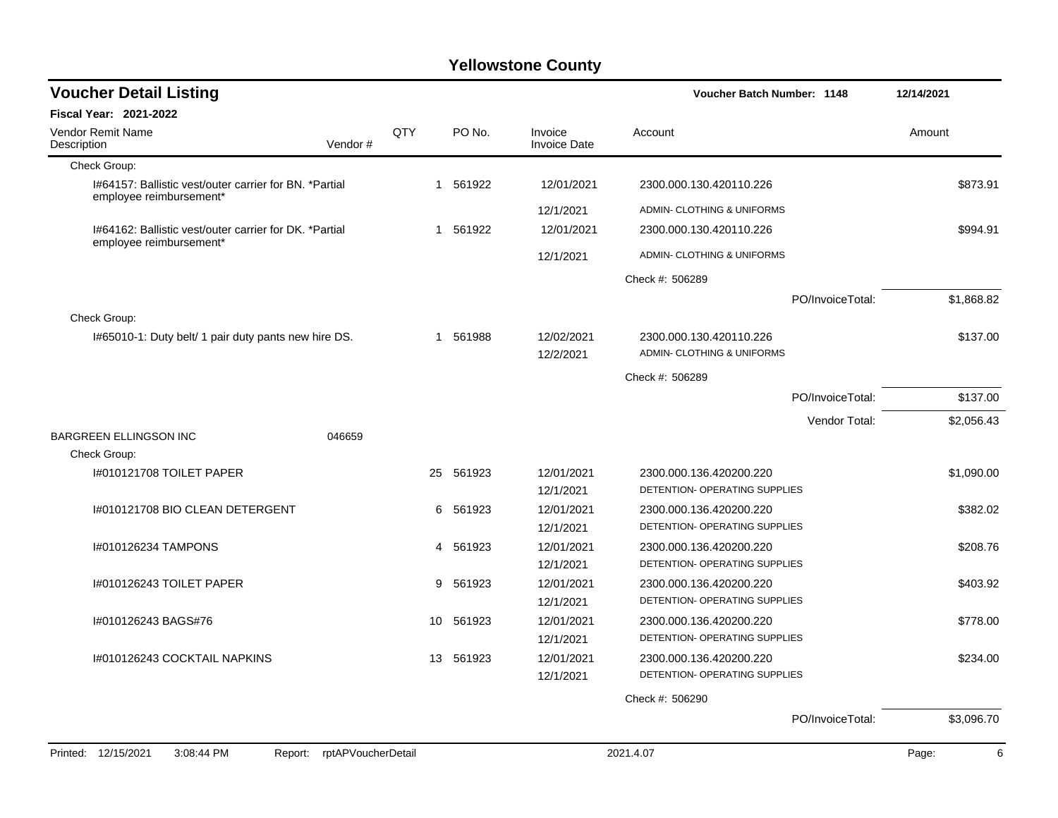| <b>Voucher Detail Listing</b>                                                     |                            |     |           |                                | Voucher Batch Number: 1148                               |                  | 12/14/2021 |
|-----------------------------------------------------------------------------------|----------------------------|-----|-----------|--------------------------------|----------------------------------------------------------|------------------|------------|
| Fiscal Year: 2021-2022                                                            |                            |     |           |                                |                                                          |                  |            |
| Vendor Remit Name<br>Description                                                  | Vendor#                    | QTY | PO No.    | Invoice<br><b>Invoice Date</b> | Account                                                  |                  | Amount     |
| Check Group:                                                                      |                            |     |           |                                |                                                          |                  |            |
| I#64157: Ballistic vest/outer carrier for BN. *Partial<br>employee reimbursement* |                            |     | 1 561922  | 12/01/2021                     | 2300.000.130.420110.226                                  |                  | \$873.91   |
|                                                                                   |                            |     |           | 12/1/2021                      | ADMIN- CLOTHING & UNIFORMS                               |                  |            |
| 1#64162: Ballistic vest/outer carrier for DK. *Partial<br>employee reimbursement* |                            | 1   | 561922    | 12/01/2021                     | 2300.000.130.420110.226                                  |                  | \$994.91   |
|                                                                                   |                            |     |           | 12/1/2021                      | ADMIN- CLOTHING & UNIFORMS                               |                  |            |
|                                                                                   |                            |     |           |                                | Check #: 506289                                          |                  |            |
|                                                                                   |                            |     |           |                                |                                                          | PO/InvoiceTotal: | \$1,868.82 |
| Check Group:                                                                      |                            |     |           |                                |                                                          |                  |            |
| I#65010-1: Duty belt/ 1 pair duty pants new hire DS.                              |                            | 1   | 561988    | 12/02/2021<br>12/2/2021        | 2300.000.130.420110.226<br>ADMIN- CLOTHING & UNIFORMS    |                  | \$137.00   |
|                                                                                   |                            |     |           |                                | Check #: 506289                                          |                  |            |
|                                                                                   |                            |     |           |                                |                                                          | PO/InvoiceTotal: | \$137.00   |
|                                                                                   |                            |     |           |                                |                                                          | Vendor Total:    | \$2,056.43 |
| <b>BARGREEN ELLINGSON INC</b>                                                     | 046659                     |     |           |                                |                                                          |                  |            |
| Check Group:                                                                      |                            |     |           |                                |                                                          |                  |            |
| 1#010121708 TOILET PAPER                                                          |                            | 25  | 561923    | 12/01/2021                     | 2300.000.136.420200.220                                  |                  | \$1,090.00 |
|                                                                                   |                            |     |           | 12/1/2021                      | DETENTION- OPERATING SUPPLIES                            |                  |            |
| I#010121708 BIO CLEAN DETERGENT                                                   |                            | 6   | 561923    | 12/01/2021                     | 2300.000.136.420200.220                                  |                  | \$382.02   |
|                                                                                   |                            |     |           | 12/1/2021                      | DETENTION- OPERATING SUPPLIES                            |                  |            |
| I#010126234 TAMPONS                                                               |                            | 4   | 561923    | 12/01/2021                     | 2300.000.136.420200.220                                  |                  | \$208.76   |
|                                                                                   |                            |     |           | 12/1/2021                      | DETENTION- OPERATING SUPPLIES                            |                  |            |
| I#010126243 TOILET PAPER                                                          |                            | 9   | 561923    | 12/01/2021                     | 2300.000.136.420200.220                                  |                  | \$403.92   |
|                                                                                   |                            |     |           | 12/1/2021                      | DETENTION- OPERATING SUPPLIES                            |                  |            |
| I#010126243 BAGS#76                                                               |                            | 10  | 561923    | 12/01/2021                     | 2300.000.136.420200.220<br>DETENTION- OPERATING SUPPLIES |                  | \$778.00   |
|                                                                                   |                            |     |           | 12/1/2021                      |                                                          |                  |            |
| 1#010126243 COCKTAIL NAPKINS                                                      |                            |     | 13 561923 | 12/01/2021<br>12/1/2021        | 2300.000.136.420200.220<br>DETENTION- OPERATING SUPPLIES |                  | \$234.00   |
|                                                                                   |                            |     |           |                                |                                                          |                  |            |
|                                                                                   |                            |     |           |                                | Check #: 506290                                          |                  |            |
|                                                                                   |                            |     |           |                                |                                                          | PO/InvoiceTotal: | \$3,096.70 |
| Printed: 12/15/2021<br>3:08:44 PM                                                 | Report: rptAPVoucherDetail |     |           |                                | 2021.4.07                                                |                  | 6<br>Page: |
|                                                                                   |                            |     |           |                                |                                                          |                  |            |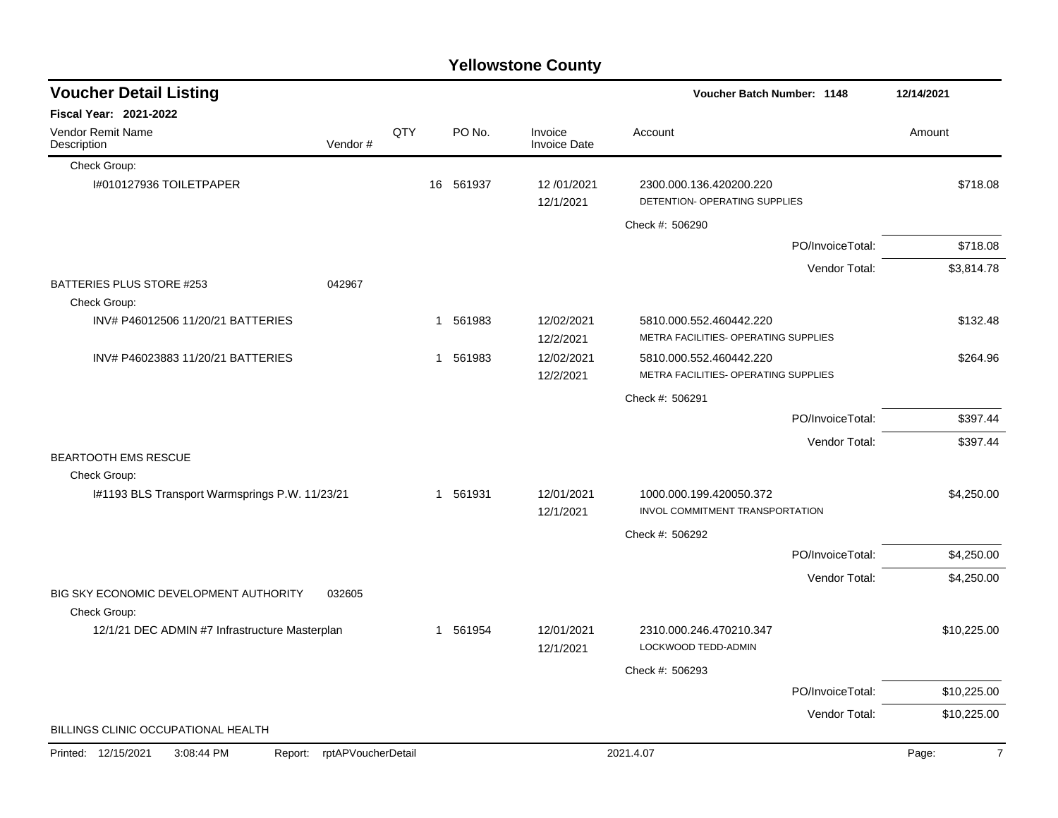|                                                                | <b>Yellowstone County</b>  |     |                        |                                |                                                                 |                  |             |  |  |  |  |  |
|----------------------------------------------------------------|----------------------------|-----|------------------------|--------------------------------|-----------------------------------------------------------------|------------------|-------------|--|--|--|--|--|
| <b>Voucher Detail Listing</b>                                  |                            |     |                        |                                | <b>Voucher Batch Number: 1148</b>                               |                  | 12/14/2021  |  |  |  |  |  |
| Fiscal Year: 2021-2022                                         |                            |     |                        |                                |                                                                 |                  |             |  |  |  |  |  |
| Vendor Remit Name<br>Description                               | Vendor#                    | QTY | PO No.                 | Invoice<br><b>Invoice Date</b> | Account                                                         |                  | Amount      |  |  |  |  |  |
| Check Group:                                                   |                            |     |                        |                                |                                                                 |                  |             |  |  |  |  |  |
| I#010127936 TOILETPAPER                                        |                            | 16  | 561937                 | 12/01/2021<br>12/1/2021        | 2300.000.136.420200.220<br>DETENTION- OPERATING SUPPLIES        |                  | \$718.08    |  |  |  |  |  |
|                                                                |                            |     |                        |                                | Check #: 506290                                                 |                  |             |  |  |  |  |  |
|                                                                |                            |     |                        |                                |                                                                 | PO/InvoiceTotal: | \$718.08    |  |  |  |  |  |
|                                                                |                            |     |                        |                                |                                                                 | Vendor Total:    | \$3,814.78  |  |  |  |  |  |
| BATTERIES PLUS STORE #253<br>Check Group:                      | 042967                     |     |                        |                                |                                                                 |                  |             |  |  |  |  |  |
| INV# P46012506 11/20/21 BATTERIES                              |                            |     | 561983<br>1            | 12/02/2021<br>12/2/2021        | 5810.000.552.460442.220<br>METRA FACILITIES- OPERATING SUPPLIES |                  | \$132.48    |  |  |  |  |  |
| INV# P46023883 11/20/21 BATTERIES                              |                            |     | 561983<br>$\mathbf{1}$ | 12/02/2021<br>12/2/2021        | 5810.000.552.460442.220<br>METRA FACILITIES- OPERATING SUPPLIES |                  | \$264.96    |  |  |  |  |  |
|                                                                |                            |     |                        |                                | Check #: 506291                                                 |                  |             |  |  |  |  |  |
|                                                                |                            |     |                        |                                |                                                                 | PO/InvoiceTotal: | \$397.44    |  |  |  |  |  |
|                                                                |                            |     |                        |                                |                                                                 | Vendor Total:    | \$397.44    |  |  |  |  |  |
| BEARTOOTH EMS RESCUE                                           |                            |     |                        |                                |                                                                 |                  |             |  |  |  |  |  |
| Check Group:<br>I#1193 BLS Transport Warmsprings P.W. 11/23/21 |                            |     | 1 561931               | 12/01/2021                     | 1000.000.199.420050.372                                         |                  | \$4,250.00  |  |  |  |  |  |
|                                                                |                            |     |                        | 12/1/2021                      | INVOL COMMITMENT TRANSPORTATION                                 |                  |             |  |  |  |  |  |
|                                                                |                            |     |                        |                                | Check #: 506292                                                 |                  |             |  |  |  |  |  |
|                                                                |                            |     |                        |                                |                                                                 | PO/InvoiceTotal: | \$4,250.00  |  |  |  |  |  |
|                                                                |                            |     |                        |                                |                                                                 | Vendor Total:    | \$4,250.00  |  |  |  |  |  |
| BIG SKY ECONOMIC DEVELOPMENT AUTHORITY<br>Check Group:         | 032605                     |     |                        |                                |                                                                 |                  |             |  |  |  |  |  |
| 12/1/21 DEC ADMIN #7 Infrastructure Masterplan                 |                            |     | 561954<br>1            | 12/01/2021<br>12/1/2021        | 2310.000.246.470210.347<br><b>LOCKWOOD TEDD-ADMIN</b>           |                  | \$10,225.00 |  |  |  |  |  |
|                                                                |                            |     |                        |                                | Check #: 506293                                                 |                  |             |  |  |  |  |  |
|                                                                |                            |     |                        |                                |                                                                 | PO/InvoiceTotal: | \$10,225.00 |  |  |  |  |  |
|                                                                |                            |     |                        |                                |                                                                 | Vendor Total:    | \$10,225.00 |  |  |  |  |  |
| BILLINGS CLINIC OCCUPATIONAL HEALTH                            |                            |     |                        |                                |                                                                 |                  |             |  |  |  |  |  |
| Printed: 12/15/2021<br>3:08:44 PM                              | Report: rptAPVoucherDetail |     |                        |                                | 2021.4.07                                                       |                  | Page:<br>7  |  |  |  |  |  |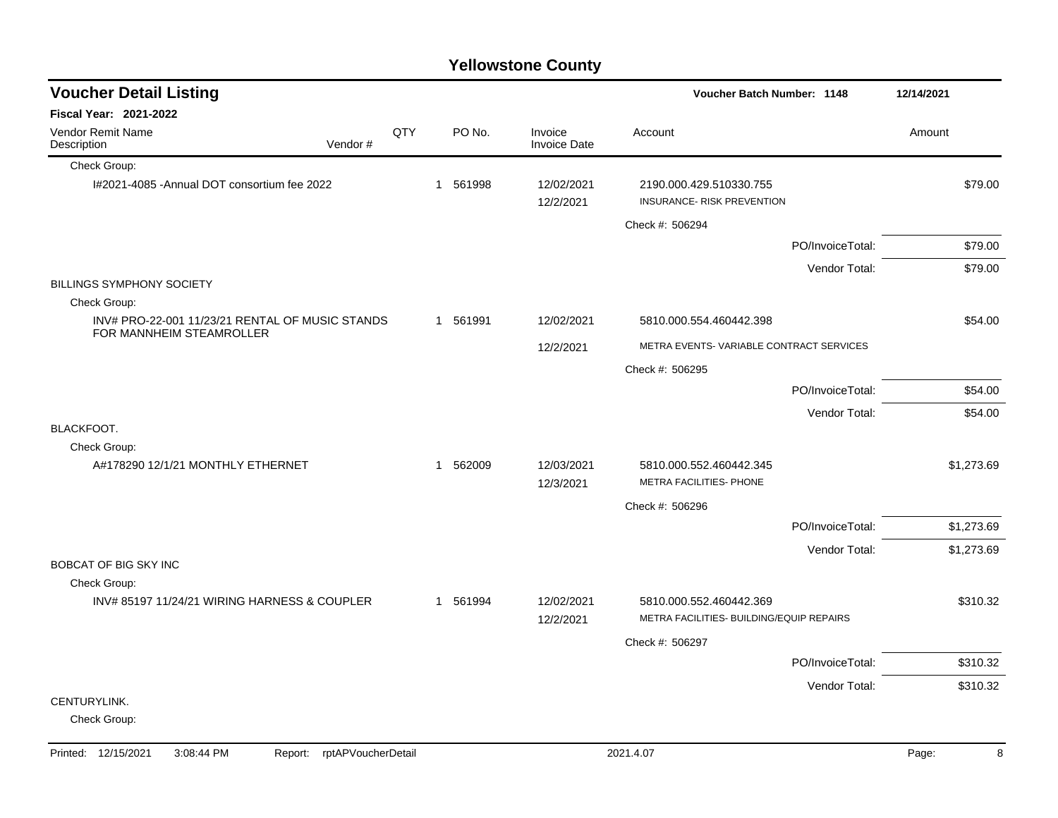|     |                                                 |        |                                              | Voucher Batch Number: 1148                            | 12/14/2021                                                                                                                                                                                                                                        |
|-----|-------------------------------------------------|--------|----------------------------------------------|-------------------------------------------------------|---------------------------------------------------------------------------------------------------------------------------------------------------------------------------------------------------------------------------------------------------|
|     |                                                 |        |                                              |                                                       |                                                                                                                                                                                                                                                   |
| QTY |                                                 | PO No. | Invoice<br><b>Invoice Date</b>               | Account                                               | Amount                                                                                                                                                                                                                                            |
|     |                                                 |        |                                              |                                                       |                                                                                                                                                                                                                                                   |
|     |                                                 |        | 12/02/2021<br>12/2/2021                      | 2190.000.429.510330.755<br>INSURANCE- RISK PREVENTION | \$79.00                                                                                                                                                                                                                                           |
|     |                                                 |        |                                              | Check #: 506294                                       |                                                                                                                                                                                                                                                   |
|     |                                                 |        |                                              |                                                       | \$79.00                                                                                                                                                                                                                                           |
|     |                                                 |        |                                              |                                                       | \$79.00                                                                                                                                                                                                                                           |
|     |                                                 |        |                                              |                                                       |                                                                                                                                                                                                                                                   |
|     |                                                 |        |                                              |                                                       |                                                                                                                                                                                                                                                   |
|     |                                                 |        | 12/02/2021                                   | 5810.000.554.460442.398                               | \$54.00                                                                                                                                                                                                                                           |
|     |                                                 |        | 12/2/2021                                    |                                                       |                                                                                                                                                                                                                                                   |
|     |                                                 |        |                                              | Check #: 506295                                       |                                                                                                                                                                                                                                                   |
|     |                                                 |        |                                              |                                                       | \$54.00                                                                                                                                                                                                                                           |
|     |                                                 |        |                                              |                                                       | \$54.00                                                                                                                                                                                                                                           |
|     |                                                 |        |                                              |                                                       |                                                                                                                                                                                                                                                   |
|     |                                                 |        |                                              |                                                       |                                                                                                                                                                                                                                                   |
|     |                                                 |        | 12/3/2021                                    | METRA FACILITIES- PHONE                               | \$1,273.69                                                                                                                                                                                                                                        |
|     |                                                 |        |                                              | Check #: 506296                                       |                                                                                                                                                                                                                                                   |
|     |                                                 |        |                                              |                                                       | \$1,273.69                                                                                                                                                                                                                                        |
|     |                                                 |        |                                              |                                                       | \$1,273.69                                                                                                                                                                                                                                        |
|     |                                                 |        |                                              |                                                       |                                                                                                                                                                                                                                                   |
|     |                                                 |        |                                              |                                                       |                                                                                                                                                                                                                                                   |
|     |                                                 |        | 12/2/2021                                    | METRA FACILITIES- BUILDING/EQUIP REPAIRS              | \$310.32                                                                                                                                                                                                                                          |
|     |                                                 |        |                                              | Check #: 506297                                       |                                                                                                                                                                                                                                                   |
|     |                                                 |        |                                              |                                                       | \$310.32                                                                                                                                                                                                                                          |
|     |                                                 |        |                                              |                                                       | \$310.32                                                                                                                                                                                                                                          |
|     |                                                 |        |                                              |                                                       |                                                                                                                                                                                                                                                   |
|     | INV# PRO-22-001 11/23/21 RENTAL OF MUSIC STANDS |        | 1 561998<br>1 561991<br>1 562009<br>1 561994 | 12/03/2021<br>12/02/2021                              | PO/InvoiceTotal:<br>Vendor Total:<br>METRA EVENTS-VARIABLE CONTRACT SERVICES<br>PO/InvoiceTotal:<br>Vendor Total:<br>5810.000.552.460442.345<br>PO/InvoiceTotal:<br>Vendor Total:<br>5810.000.552.460442.369<br>PO/InvoiceTotal:<br>Vendor Total: |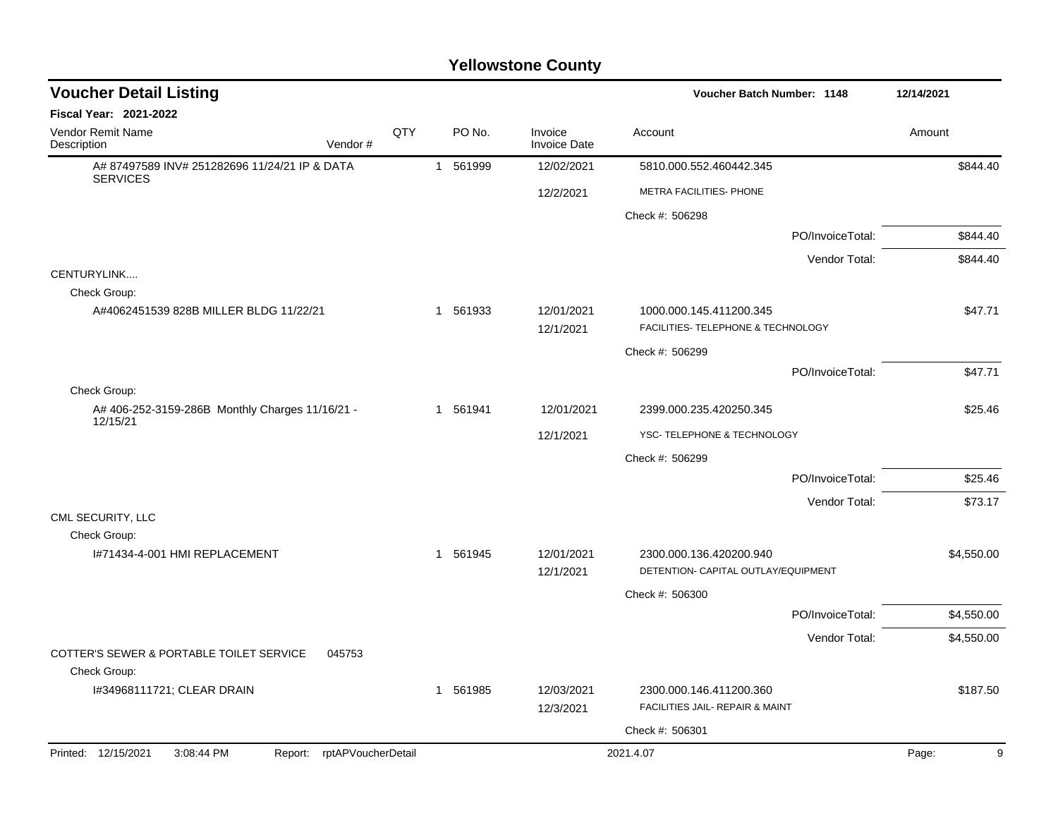|                                                                  | <b>Yellowstone County</b>  |          |          |            |                                |                                                                |                  |         |            |  |  |  |
|------------------------------------------------------------------|----------------------------|----------|----------|------------|--------------------------------|----------------------------------------------------------------|------------------|---------|------------|--|--|--|
| <b>Voucher Detail Listing</b>                                    |                            |          |          |            | Voucher Batch Number: 1148     | 12/14/2021                                                     |                  |         |            |  |  |  |
| Fiscal Year: 2021-2022                                           |                            |          |          |            |                                |                                                                |                  |         |            |  |  |  |
| Vendor Remit Name<br>Description                                 | Vendor#                    | QTY      |          | PO No.     | Invoice<br><b>Invoice Date</b> | Account                                                        |                  | Amount  |            |  |  |  |
| A# 87497589 INV# 251282696 11/24/21 IP & DATA<br><b>SERVICES</b> |                            |          | 1 561999 |            | 12/02/2021                     | 5810.000.552.460442.345                                        |                  |         | \$844.40   |  |  |  |
|                                                                  |                            |          |          |            | 12/2/2021                      | METRA FACILITIES- PHONE                                        |                  |         |            |  |  |  |
|                                                                  |                            |          |          |            |                                | Check #: 506298                                                |                  |         |            |  |  |  |
|                                                                  |                            |          |          |            |                                |                                                                | PO/InvoiceTotal: |         | \$844.40   |  |  |  |
|                                                                  |                            |          |          |            |                                |                                                                | Vendor Total:    |         | \$844.40   |  |  |  |
| CENTURYLINK<br>Check Group:                                      |                            |          |          |            |                                |                                                                |                  |         |            |  |  |  |
| A#4062451539 828B MILLER BLDG 11/22/21                           |                            |          | 1 561933 |            | 12/01/2021<br>12/1/2021        | 1000.000.145.411200.345<br>FACILITIES- TELEPHONE & TECHNOLOGY  |                  |         | \$47.71    |  |  |  |
|                                                                  |                            |          |          |            |                                | Check #: 506299                                                |                  |         |            |  |  |  |
|                                                                  |                            |          |          |            |                                |                                                                | PO/InvoiceTotal: |         | \$47.71    |  |  |  |
| Check Group:                                                     |                            |          |          |            |                                |                                                                |                  |         |            |  |  |  |
| A# 406-252-3159-286B Monthly Charges 11/16/21 -<br>12/15/21      |                            | 1 561941 |          | 12/01/2021 | 2399.000.235.420250.345        |                                                                |                  | \$25.46 |            |  |  |  |
|                                                                  |                            |          |          |            | 12/1/2021                      | YSC- TELEPHONE & TECHNOLOGY                                    |                  |         |            |  |  |  |
|                                                                  |                            |          |          |            |                                | Check #: 506299                                                |                  |         |            |  |  |  |
|                                                                  |                            |          |          |            |                                |                                                                | PO/InvoiceTotal: |         | \$25.46    |  |  |  |
|                                                                  |                            |          |          |            |                                |                                                                | Vendor Total:    |         | \$73.17    |  |  |  |
| CML SECURITY, LLC<br>Check Group:                                |                            |          |          |            |                                |                                                                |                  |         |            |  |  |  |
| I#71434-4-001 HMI REPLACEMENT                                    |                            |          | 1        | 561945     | 12/01/2021<br>12/1/2021        | 2300.000.136.420200.940<br>DETENTION- CAPITAL OUTLAY/EQUIPMENT |                  |         | \$4,550.00 |  |  |  |
|                                                                  |                            |          |          |            |                                | Check #: 506300                                                |                  |         |            |  |  |  |
|                                                                  |                            |          |          |            |                                |                                                                | PO/InvoiceTotal: |         | \$4,550.00 |  |  |  |
|                                                                  |                            |          |          |            |                                |                                                                | Vendor Total:    |         | \$4,550.00 |  |  |  |
| COTTER'S SEWER & PORTABLE TOILET SERVICE<br>Check Group:         | 045753                     |          |          |            |                                |                                                                |                  |         |            |  |  |  |
| I#34968111721; CLEAR DRAIN                                       |                            |          | 1 561985 |            | 12/03/2021                     | 2300.000.146.411200.360                                        |                  |         | \$187.50   |  |  |  |
|                                                                  |                            |          |          |            | 12/3/2021                      | FACILITIES JAIL- REPAIR & MAINT                                |                  |         |            |  |  |  |
|                                                                  |                            |          |          |            |                                | Check #: 506301                                                |                  |         |            |  |  |  |
| Printed: 12/15/2021<br>3:08:44 PM                                | Report: rptAPVoucherDetail |          |          |            |                                | 2021.4.07                                                      |                  | Page:   | 9          |  |  |  |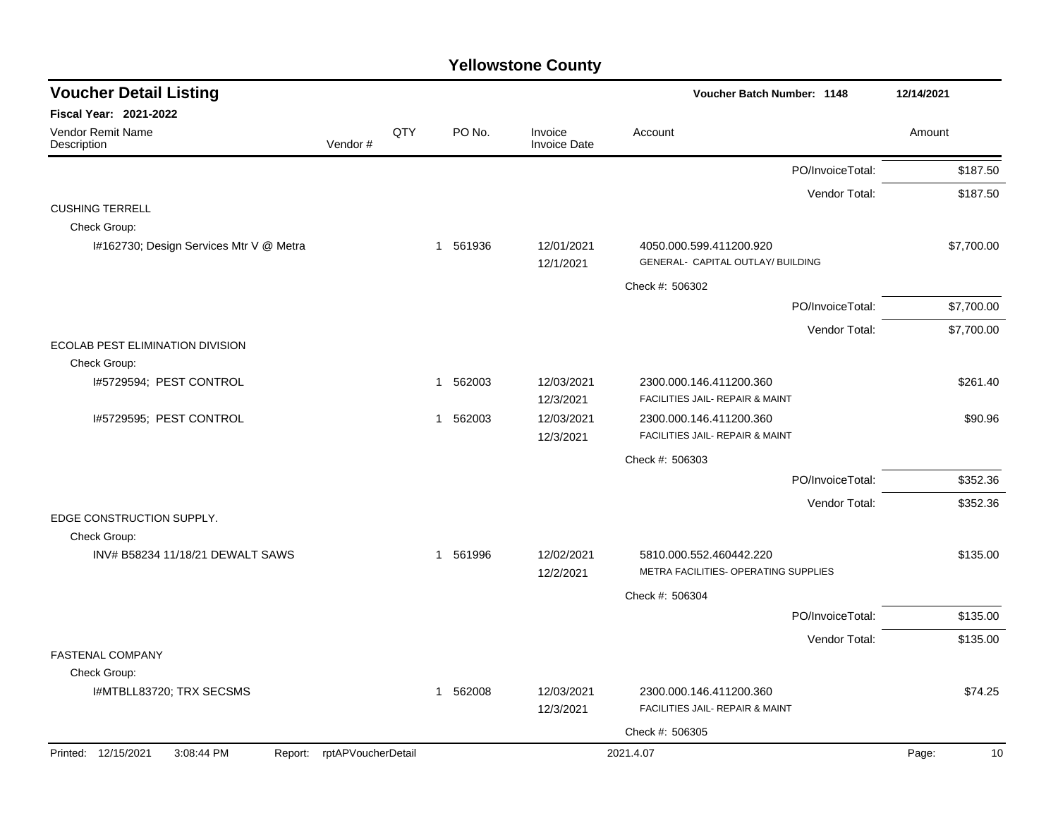| <b>Voucher Detail Listing</b>                |                    |     |                        |                                | Voucher Batch Number: 1148                                   | 12/14/2021  |
|----------------------------------------------|--------------------|-----|------------------------|--------------------------------|--------------------------------------------------------------|-------------|
| Fiscal Year: 2021-2022                       |                    |     |                        |                                |                                                              |             |
| Vendor Remit Name<br>Description             | Vendor#            | QTY | PO No.                 | Invoice<br><b>Invoice Date</b> | Account                                                      | Amount      |
|                                              |                    |     |                        |                                | PO/InvoiceTotal:                                             | \$187.50    |
|                                              |                    |     |                        |                                | Vendor Total:                                                | \$187.50    |
| <b>CUSHING TERRELL</b>                       |                    |     |                        |                                |                                                              |             |
| Check Group:                                 |                    |     |                        |                                |                                                              |             |
| I#162730; Design Services Mtr V @ Metra      |                    |     | 561936<br>-1           | 12/01/2021<br>12/1/2021        | 4050.000.599.411200.920<br>GENERAL- CAPITAL OUTLAY/ BUILDING | \$7,700.00  |
|                                              |                    |     |                        |                                | Check #: 506302                                              |             |
|                                              |                    |     |                        |                                | PO/InvoiceTotal:                                             | \$7,700.00  |
|                                              |                    |     |                        |                                | Vendor Total:                                                | \$7,700.00  |
| <b>ECOLAB PEST ELIMINATION DIVISION</b>      |                    |     |                        |                                |                                                              |             |
| Check Group:                                 |                    |     |                        |                                |                                                              |             |
| I#5729594; PEST CONTROL                      |                    |     | 1 562003               | 12/03/2021                     | 2300.000.146.411200.360                                      | \$261.40    |
|                                              |                    |     |                        | 12/3/2021                      | FACILITIES JAIL- REPAIR & MAINT                              |             |
| I#5729595; PEST CONTROL                      |                    |     | 562003<br>$\mathbf 1$  | 12/03/2021<br>12/3/2021        | 2300.000.146.411200.360<br>FACILITIES JAIL- REPAIR & MAINT   | \$90.96     |
|                                              |                    |     |                        |                                |                                                              |             |
|                                              |                    |     |                        |                                | Check #: 506303                                              |             |
|                                              |                    |     |                        |                                | PO/InvoiceTotal:                                             | \$352.36    |
| EDGE CONSTRUCTION SUPPLY.                    |                    |     |                        |                                | Vendor Total:                                                | \$352.36    |
| Check Group:                                 |                    |     |                        |                                |                                                              |             |
| INV# B58234 11/18/21 DEWALT SAWS             |                    |     | 1 561996               | 12/02/2021                     | 5810.000.552.460442.220                                      | \$135.00    |
|                                              |                    |     |                        | 12/2/2021                      | METRA FACILITIES- OPERATING SUPPLIES                         |             |
|                                              |                    |     |                        |                                | Check #: 506304                                              |             |
|                                              |                    |     |                        |                                | PO/InvoiceTotal:                                             | \$135.00    |
|                                              |                    |     |                        |                                | Vendor Total:                                                | \$135.00    |
| <b>FASTENAL COMPANY</b>                      |                    |     |                        |                                |                                                              |             |
| Check Group:<br>I#MTBLL83720; TRX SECSMS     |                    |     | 562008<br>$\mathbf{1}$ | 12/03/2021                     | 2300.000.146.411200.360                                      | \$74.25     |
|                                              |                    |     |                        | 12/3/2021                      | FACILITIES JAIL- REPAIR & MAINT                              |             |
|                                              |                    |     |                        |                                | Check #: 506305                                              |             |
| Printed: 12/15/2021<br>3:08:44 PM<br>Report: | rptAPVoucherDetail |     |                        |                                | 2021.4.07                                                    | Page:<br>10 |
|                                              |                    |     |                        |                                |                                                              |             |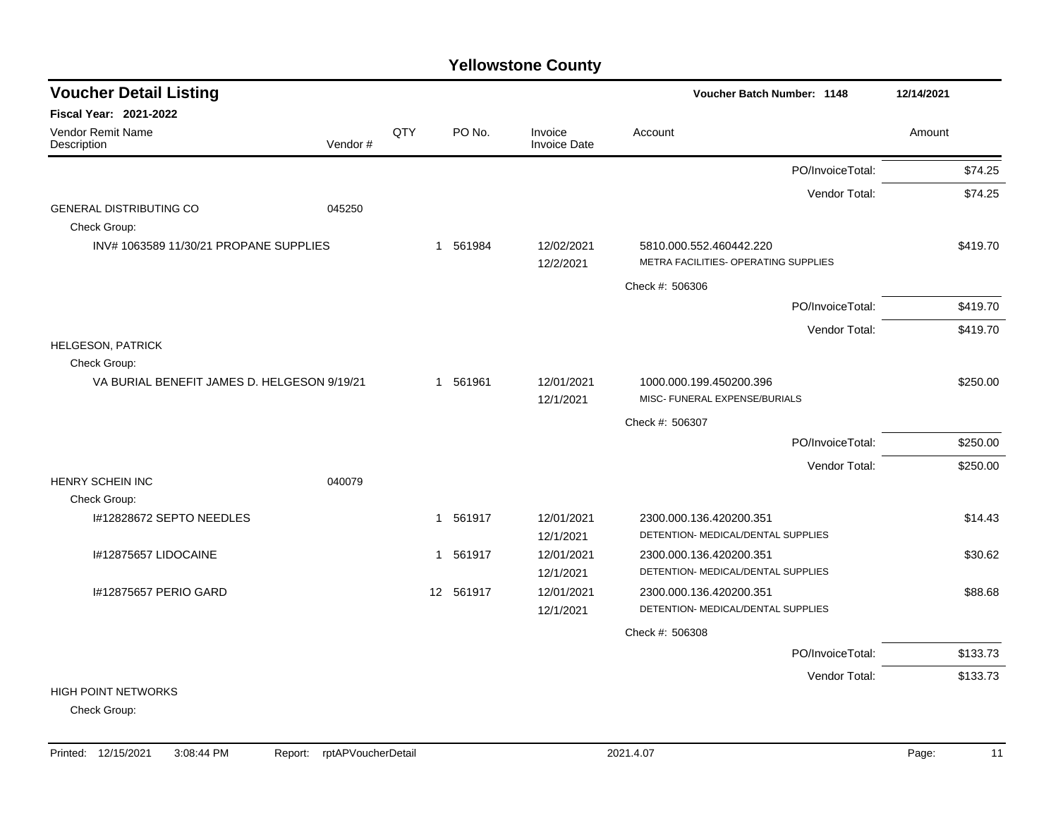| <b>Voucher Detail Listing</b>                               |         |     |           |                         | <b>Voucher Batch Number: 1148</b>                               | 12/14/2021 |
|-------------------------------------------------------------|---------|-----|-----------|-------------------------|-----------------------------------------------------------------|------------|
| <b>Fiscal Year: 2021-2022</b>                               |         |     |           |                         |                                                                 |            |
| Vendor Remit Name<br>Description                            | Vendor# | QTY | PO No.    | Invoice<br>Invoice Date | Account                                                         | Amount     |
|                                                             |         |     |           |                         | PO/InvoiceTotal:                                                | \$74.25    |
|                                                             |         |     |           |                         | Vendor Total:                                                   | \$74.25    |
| <b>GENERAL DISTRIBUTING CO</b>                              | 045250  |     |           |                         |                                                                 |            |
| Check Group:                                                |         |     |           |                         |                                                                 |            |
| INV# 1063589 11/30/21 PROPANE SUPPLIES                      |         |     | 1 561984  | 12/02/2021              | 5810.000.552.460442.220<br>METRA FACILITIES- OPERATING SUPPLIES | \$419.70   |
|                                                             |         |     |           | 12/2/2021               |                                                                 |            |
|                                                             |         |     |           |                         | Check #: 506306                                                 |            |
|                                                             |         |     |           |                         | PO/InvoiceTotal:                                                | \$419.70   |
|                                                             |         |     |           |                         | Vendor Total:                                                   | \$419.70   |
| <b>HELGESON, PATRICK</b>                                    |         |     |           |                         |                                                                 |            |
| Check Group:<br>VA BURIAL BENEFIT JAMES D. HELGESON 9/19/21 |         |     | 1 561961  | 12/01/2021              | 1000.000.199.450200.396                                         | \$250.00   |
|                                                             |         |     |           | 12/1/2021               | MISC- FUNERAL EXPENSE/BURIALS                                   |            |
|                                                             |         |     |           |                         | Check #: 506307                                                 |            |
|                                                             |         |     |           |                         | PO/InvoiceTotal:                                                | \$250.00   |
|                                                             |         |     |           |                         | Vendor Total:                                                   | \$250.00   |
| HENRY SCHEIN INC                                            | 040079  |     |           |                         |                                                                 |            |
| Check Group:                                                |         |     |           |                         |                                                                 |            |
| I#12828672 SEPTO NEEDLES                                    |         |     | 1 561917  | 12/01/2021              | 2300.000.136.420200.351                                         | \$14.43    |
|                                                             |         |     |           | 12/1/2021               | DETENTION- MEDICAL/DENTAL SUPPLIES                              |            |
| I#12875657 LIDOCAINE                                        |         |     | 1 561917  | 12/01/2021              | 2300.000.136.420200.351                                         | \$30.62    |
|                                                             |         |     |           | 12/1/2021               | DETENTION- MEDICAL/DENTAL SUPPLIES                              |            |
| I#12875657 PERIO GARD                                       |         |     | 12 561917 | 12/01/2021              | 2300.000.136.420200.351                                         | \$88.68    |
|                                                             |         |     |           | 12/1/2021               | DETENTION- MEDICAL/DENTAL SUPPLIES                              |            |
|                                                             |         |     |           |                         | Check #: 506308                                                 |            |
|                                                             |         |     |           |                         | PO/InvoiceTotal:                                                | \$133.73   |
|                                                             |         |     |           |                         | Vendor Total:                                                   | \$133.73   |
| <b>HIGH POINT NETWORKS</b>                                  |         |     |           |                         |                                                                 |            |
| Check Group:                                                |         |     |           |                         |                                                                 |            |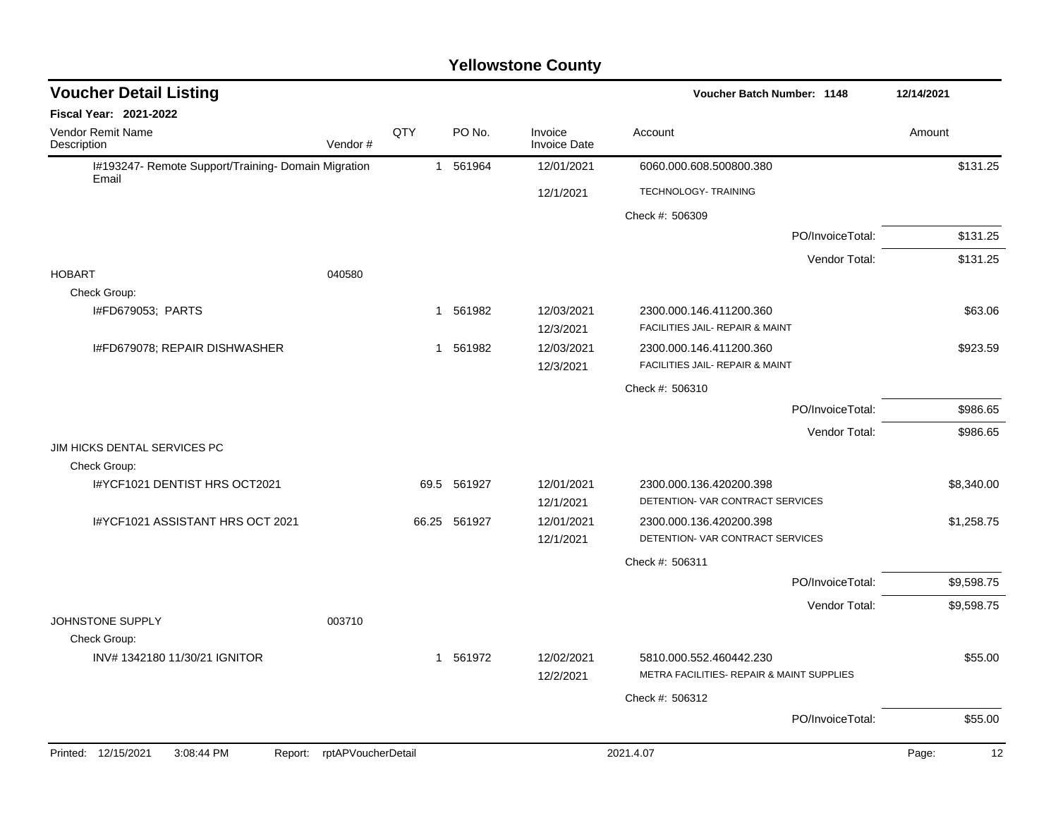| <b>Voucher Detail Listing</b>                                |                    |              |              |                                | Voucher Batch Number: 1148                | 12/14/2021  |
|--------------------------------------------------------------|--------------------|--------------|--------------|--------------------------------|-------------------------------------------|-------------|
| Fiscal Year: 2021-2022                                       |                    |              |              |                                |                                           |             |
| Vendor Remit Name<br>Description                             | Vendor#            | QTY          | PO No.       | Invoice<br><b>Invoice Date</b> | Account                                   | Amount      |
| I#193247- Remote Support/Training- Domain Migration<br>Email |                    |              | 1 561964     | 12/01/2021                     | 6060.000.608.500800.380                   | \$131.25    |
|                                                              |                    |              |              | 12/1/2021                      | TECHNOLOGY- TRAINING                      |             |
|                                                              |                    |              |              |                                | Check #: 506309                           |             |
|                                                              |                    |              |              |                                | PO/InvoiceTotal:                          | \$131.25    |
|                                                              |                    |              |              |                                | Vendor Total:                             | \$131.25    |
| <b>HOBART</b>                                                | 040580             |              |              |                                |                                           |             |
| Check Group:                                                 |                    |              |              |                                |                                           |             |
| I#FD679053; PARTS                                            |                    | $\mathbf{1}$ | 561982       | 12/03/2021                     | 2300.000.146.411200.360                   | \$63.06     |
|                                                              |                    |              |              | 12/3/2021                      | FACILITIES JAIL- REPAIR & MAINT           |             |
| I#FD679078; REPAIR DISHWASHER                                |                    | $\mathbf{1}$ | 561982       | 12/03/2021                     | 2300.000.146.411200.360                   | \$923.59    |
|                                                              |                    |              |              | 12/3/2021                      | FACILITIES JAIL- REPAIR & MAINT           |             |
|                                                              |                    |              |              |                                | Check #: 506310                           |             |
|                                                              |                    |              |              |                                | PO/InvoiceTotal:                          | \$986.65    |
|                                                              |                    |              |              |                                | Vendor Total:                             | \$986.65    |
| JIM HICKS DENTAL SERVICES PC                                 |                    |              |              |                                |                                           |             |
| Check Group:                                                 |                    |              |              |                                |                                           |             |
| I#YCF1021 DENTIST HRS OCT2021                                |                    |              | 69.5 561927  | 12/01/2021                     | 2300.000.136.420200.398                   | \$8,340.00  |
|                                                              |                    |              |              | 12/1/2021                      | DETENTION- VAR CONTRACT SERVICES          |             |
| I#YCF1021 ASSISTANT HRS OCT 2021                             |                    |              | 66.25 561927 | 12/01/2021                     | 2300.000.136.420200.398                   | \$1,258.75  |
|                                                              |                    |              |              | 12/1/2021                      | DETENTION- VAR CONTRACT SERVICES          |             |
|                                                              |                    |              |              |                                | Check #: 506311                           |             |
|                                                              |                    |              |              |                                | PO/InvoiceTotal:                          | \$9,598.75  |
|                                                              |                    |              |              |                                | Vendor Total:                             | \$9,598.75  |
| JOHNSTONE SUPPLY                                             | 003710             |              |              |                                |                                           |             |
| Check Group:                                                 |                    |              |              |                                |                                           |             |
| INV# 1342180 11/30/21 IGNITOR                                |                    |              | 1 561972     | 12/02/2021                     | 5810.000.552.460442.230                   | \$55.00     |
|                                                              |                    |              |              | 12/2/2021                      | METRA FACILITIES- REPAIR & MAINT SUPPLIES |             |
|                                                              |                    |              |              |                                | Check #: 506312                           |             |
|                                                              |                    |              |              |                                | PO/InvoiceTotal:                          | \$55.00     |
| Printed: 12/15/2021<br>3:08:44 PM<br>Report:                 | rptAPVoucherDetail |              |              |                                | 2021.4.07                                 | Page:<br>12 |
|                                                              |                    |              |              |                                |                                           |             |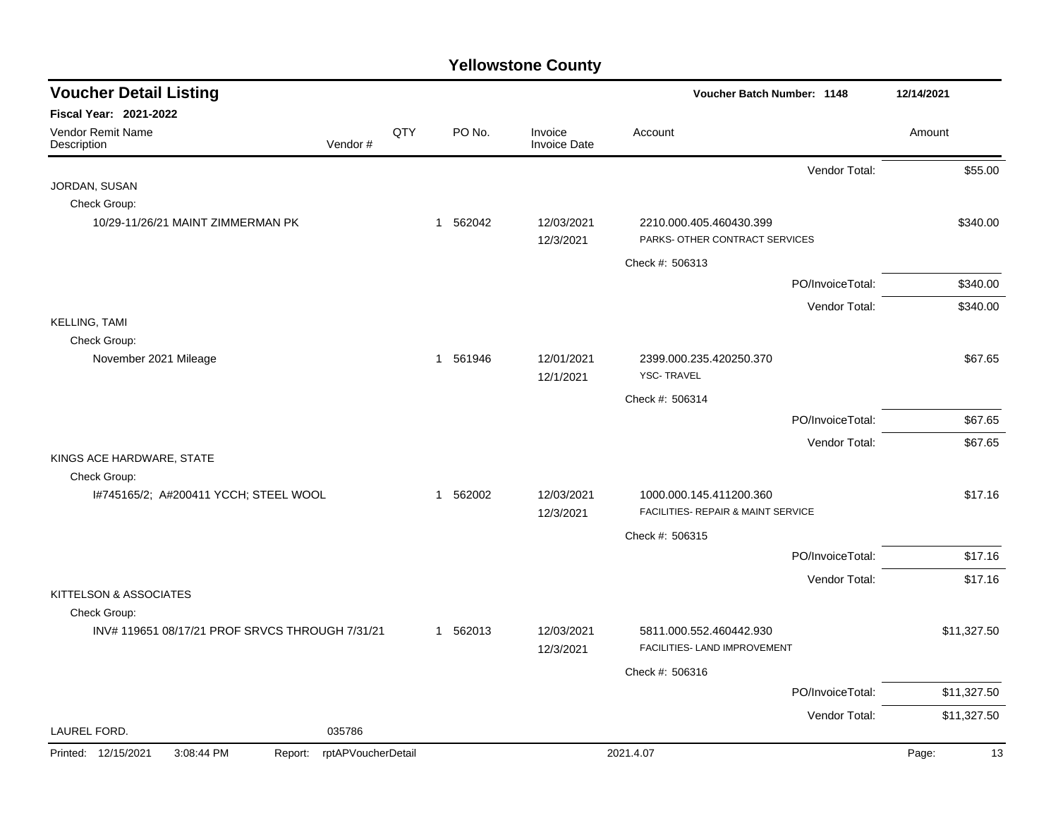| <b>Voucher Detail Listing</b>                   |                    |     |          |                                | Voucher Batch Number: 1148                                |                  | 12/14/2021  |
|-------------------------------------------------|--------------------|-----|----------|--------------------------------|-----------------------------------------------------------|------------------|-------------|
| <b>Fiscal Year: 2021-2022</b>                   |                    |     |          |                                |                                                           |                  |             |
| Vendor Remit Name<br>Description                | Vendor#            | QTY | PO No.   | Invoice<br><b>Invoice Date</b> | Account                                                   |                  | Amount      |
|                                                 |                    |     |          |                                |                                                           | Vendor Total:    | \$55.00     |
| JORDAN, SUSAN                                   |                    |     |          |                                |                                                           |                  |             |
| Check Group:                                    |                    |     |          |                                |                                                           |                  |             |
| 10/29-11/26/21 MAINT ZIMMERMAN PK               |                    |     | 1 562042 | 12/03/2021<br>12/3/2021        | 2210.000.405.460430.399<br>PARKS- OTHER CONTRACT SERVICES |                  | \$340.00    |
|                                                 |                    |     |          |                                | Check #: 506313                                           |                  |             |
|                                                 |                    |     |          |                                |                                                           | PO/InvoiceTotal: | \$340.00    |
|                                                 |                    |     |          |                                |                                                           | Vendor Total:    | \$340.00    |
| <b>KELLING, TAMI</b>                            |                    |     |          |                                |                                                           |                  |             |
| Check Group:                                    |                    |     |          |                                |                                                           |                  |             |
| November 2021 Mileage                           |                    |     | 1 561946 | 12/01/2021<br>12/1/2021        | 2399.000.235.420250.370<br><b>YSC-TRAVEL</b>              |                  | \$67.65     |
|                                                 |                    |     |          |                                |                                                           |                  |             |
|                                                 |                    |     |          |                                | Check #: 506314                                           |                  |             |
|                                                 |                    |     |          |                                |                                                           | PO/InvoiceTotal: | \$67.65     |
| KINGS ACE HARDWARE, STATE                       |                    |     |          |                                |                                                           | Vendor Total:    | \$67.65     |
| Check Group:                                    |                    |     |          |                                |                                                           |                  |             |
| I#745165/2; A#200411 YCCH; STEEL WOOL           |                    |     | 1 562002 | 12/03/2021                     | 1000.000.145.411200.360                                   |                  | \$17.16     |
|                                                 |                    |     |          | 12/3/2021                      | FACILITIES- REPAIR & MAINT SERVICE                        |                  |             |
|                                                 |                    |     |          |                                | Check #: 506315                                           |                  |             |
|                                                 |                    |     |          |                                |                                                           | PO/InvoiceTotal: | \$17.16     |
|                                                 |                    |     |          |                                |                                                           | Vendor Total:    | \$17.16     |
| KITTELSON & ASSOCIATES                          |                    |     |          |                                |                                                           |                  |             |
| Check Group:                                    |                    |     |          |                                |                                                           |                  |             |
| INV# 119651 08/17/21 PROF SRVCS THROUGH 7/31/21 |                    |     | 1 562013 | 12/03/2021<br>12/3/2021        | 5811.000.552.460442.930<br>FACILITIES- LAND IMPROVEMENT   |                  | \$11,327.50 |
|                                                 |                    |     |          |                                | Check #: 506316                                           |                  |             |
|                                                 |                    |     |          |                                |                                                           | PO/InvoiceTotal: | \$11,327.50 |
|                                                 |                    |     |          |                                |                                                           | Vendor Total:    | \$11,327.50 |
| LAUREL FORD.                                    | 035786             |     |          |                                |                                                           |                  |             |
| Printed: 12/15/2021<br>3:08:44 PM<br>Report:    | rptAPVoucherDetail |     |          |                                | 2021.4.07                                                 |                  | Page:<br>13 |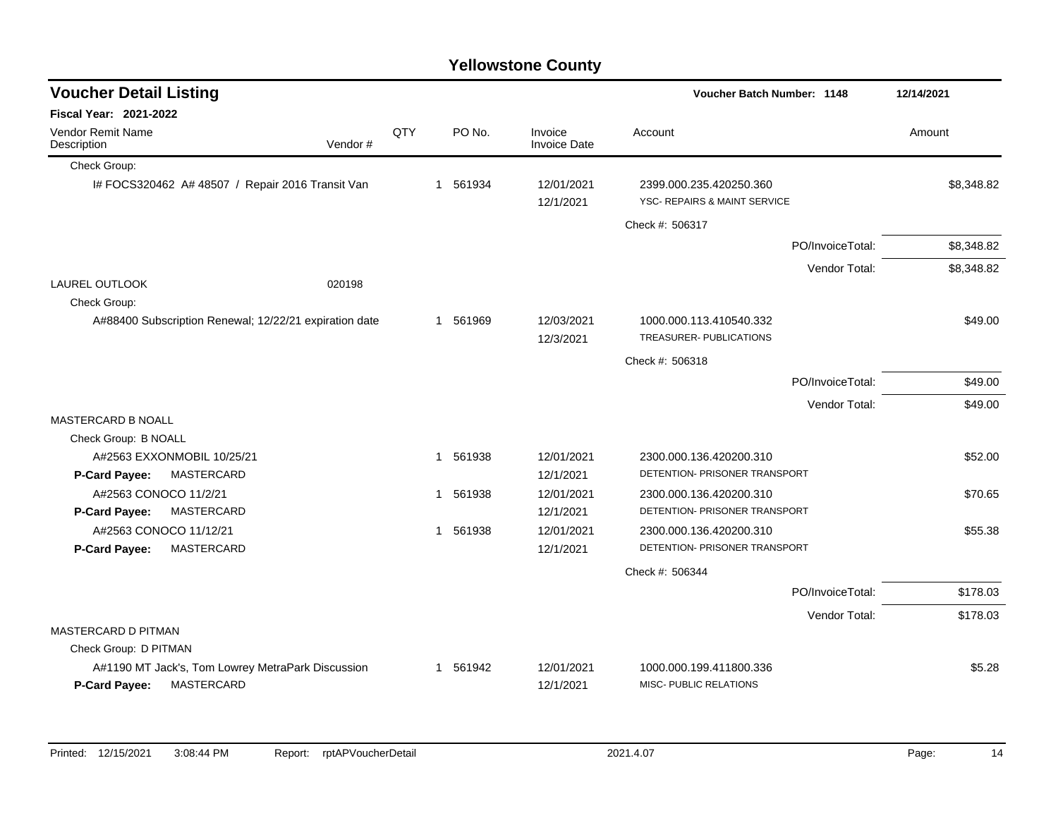#### Check Group: I# FOCS320462 A# 48507 / Repair 2016 Transit Van 1 561934 12/01/2021 2399.000.235.420250.360 \$8,348.82 12/1/2021 YSC- REPAIRS & MAINT SERVICE Check #: 506317 PO/InvoiceTotal: \$8,348.82 Vendor Total: \$8,348.82 LAUREL OUTLOOK 020198 Check Group: A#88400 Subscription Renewal; 12/22/21 expiration date  $$49.00$ <br>
1 561969 12/03/2021 1000.000.113.410540.332 12/3/2021 TREASURER- PUBLICATIONS Check #: 506318 PO/InvoiceTotal: \$49.00 Vendor Total: \$49.00 MASTERCARD B NOALL Check Group: B NOALL A#2563 EXXONMOBIL 10/25/21 1 1 561938 12/01/2021 2300.000.136.420200.310 **P-Card Payee:** MASTERCARD 12/1/2021 DETENTION- PRISONER TRANSPORT A#2563 CONOCO 11/2/21 **1 561938** 12/01/2021 2300.000.136.420200.310 **570.65** 370.65 **P-Card Payee:** MASTERCARD 12/1/2021 DETENTION- PRISONER TRANSPORT A#2563 CONOCO 11/12/21 655.38 12/01/2021 2300.000.136.420200.310 555.38 **P-Card Payee:** MASTERCARD **NASTER ARE A CONSUMING A PAYABLE 12/1/2021** DETENTION- PRISONER TRANSPORT Check #: 506344 PO/InvoiceTotal: \$178.03 Vendor Total: \$178.03 MASTERCARD D PITMAN Check Group: D PITMAN A#1190 MT Jack's, Tom Lowrey MetraPark Discussion 1 561942 12/01/2021 1000.000.199.411800.336 35.28 **P-Card Payee:** MASTERCARD **12/1/2021** MISC- PUBLIC RELATIONS **Voucher Batch Number: Yellowstone County** Vendor Remit Name Description **Voucher Detail Listing Fiscal Year: 2021-2022 1148 12/14/2021** PO No. Invoice Account Amount Amount Amount Amount Vendor # QTY Invoice Date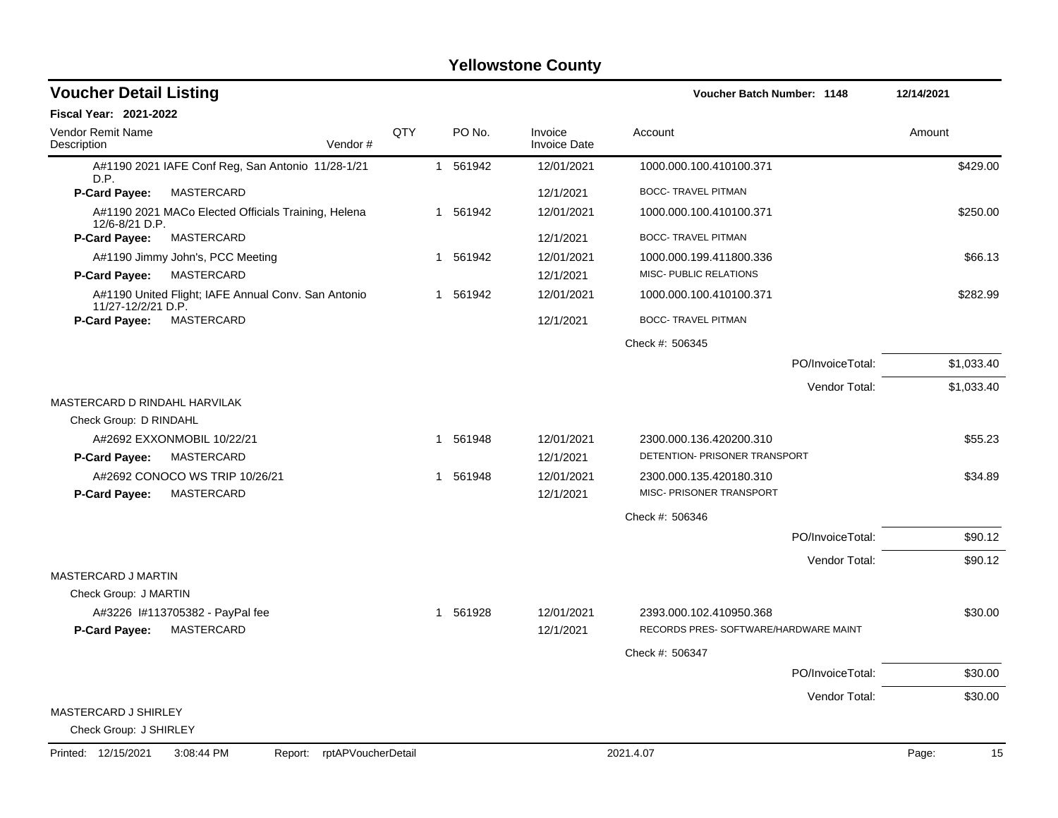| <b>Voucher Detail Listing</b>                                             |         |     |          |                                |                                                          | <b>Voucher Batch Number: 1148</b> |            |  |
|---------------------------------------------------------------------------|---------|-----|----------|--------------------------------|----------------------------------------------------------|-----------------------------------|------------|--|
| <b>Fiscal Year: 2021-2022</b>                                             |         |     |          |                                |                                                          |                                   |            |  |
| <b>Vendor Remit Name</b><br>Description                                   | Vendor# | QTY | PO No.   | Invoice<br><b>Invoice Date</b> | Account                                                  |                                   | Amount     |  |
| A#1190 2021 IAFE Conf Reg, San Antonio 11/28-1/21<br>D.P.                 |         |     | 1 561942 | 12/01/2021                     | 1000.000.100.410100.371                                  |                                   | \$429.00   |  |
| <b>P-Card Payee:</b><br><b>MASTERCARD</b>                                 |         |     |          | 12/1/2021                      | <b>BOCC- TRAVEL PITMAN</b>                               |                                   |            |  |
| A#1190 2021 MACo Elected Officials Training, Helena<br>12/6-8/21 D.P.     |         |     | 1 561942 | 12/01/2021                     | 1000.000.100.410100.371                                  |                                   | \$250.00   |  |
| <b>P-Card Payee:</b><br>MASTERCARD                                        |         |     |          | 12/1/2021                      | <b>BOCC- TRAVEL PITMAN</b>                               |                                   |            |  |
| A#1190 Jimmy John's, PCC Meeting                                          |         |     | 1 561942 | 12/01/2021                     | 1000.000.199.411800.336                                  |                                   | \$66.13    |  |
| P-Card Payee:<br>MASTERCARD                                               |         |     |          | 12/1/2021                      | MISC- PUBLIC RELATIONS                                   |                                   |            |  |
| A#1190 United Flight; IAFE Annual Conv. San Antonio<br>11/27-12/2/21 D.P. |         |     | 1 561942 | 12/01/2021                     | 1000.000.100.410100.371                                  |                                   | \$282.99   |  |
| MASTERCARD<br>P-Card Payee:                                               |         |     |          | 12/1/2021                      | <b>BOCC- TRAVEL PITMAN</b>                               |                                   |            |  |
|                                                                           |         |     |          |                                | Check #: 506345                                          |                                   |            |  |
|                                                                           |         |     |          |                                |                                                          | PO/InvoiceTotal:                  | \$1,033.40 |  |
| MASTERCARD D RINDAHL HARVILAK                                             |         |     |          |                                |                                                          | Vendor Total:                     | \$1,033.40 |  |
| Check Group: D RINDAHL                                                    |         |     |          |                                |                                                          |                                   |            |  |
| A#2692 EXXONMOBIL 10/22/21<br><b>P-Card Payee:</b><br>MASTERCARD          |         |     | 1 561948 | 12/01/2021<br>12/1/2021        | 2300.000.136.420200.310<br>DETENTION- PRISONER TRANSPORT |                                   | \$55.23    |  |
| A#2692 CONOCO WS TRIP 10/26/21                                            |         |     | 1 561948 | 12/01/2021                     | 2300.000.135.420180.310                                  |                                   | \$34.89    |  |
| P-Card Payee:<br>MASTERCARD                                               |         |     |          | 12/1/2021                      | MISC- PRISONER TRANSPORT                                 |                                   |            |  |
|                                                                           |         |     |          |                                | Check #: 506346                                          |                                   |            |  |
|                                                                           |         |     |          |                                |                                                          | PO/InvoiceTotal:                  | \$90.12    |  |
|                                                                           |         |     |          |                                |                                                          | Vendor Total:                     | \$90.12    |  |
| <b>MASTERCARD J MARTIN</b>                                                |         |     |          |                                |                                                          |                                   |            |  |
| Check Group: J MARTIN                                                     |         |     |          |                                |                                                          |                                   |            |  |
| A#3226 1#113705382 - PayPal fee                                           |         |     | 1 561928 | 12/01/2021                     | 2393.000.102.410950.368                                  |                                   | \$30.00    |  |
| P-Card Payee:<br>MASTERCARD                                               |         |     |          | 12/1/2021                      | RECORDS PRES- SOFTWARE/HARDWARE MAINT                    |                                   |            |  |
|                                                                           |         |     |          |                                | Check #: 506347                                          |                                   |            |  |
|                                                                           |         |     |          |                                |                                                          | PO/InvoiceTotal:                  | \$30.00    |  |
|                                                                           |         |     |          |                                |                                                          | Vendor Total:                     | \$30.00    |  |
| MASTERCARD J SHIRLEY<br>Check Group: J SHIRLEY                            |         |     |          |                                |                                                          |                                   |            |  |
|                                                                           |         |     |          |                                |                                                          |                                   |            |  |

Printed: 12/15/2021 3:08:44 PM Report: rptAPVoucherDetail 2021.4.07 2021.4.07 Page: 15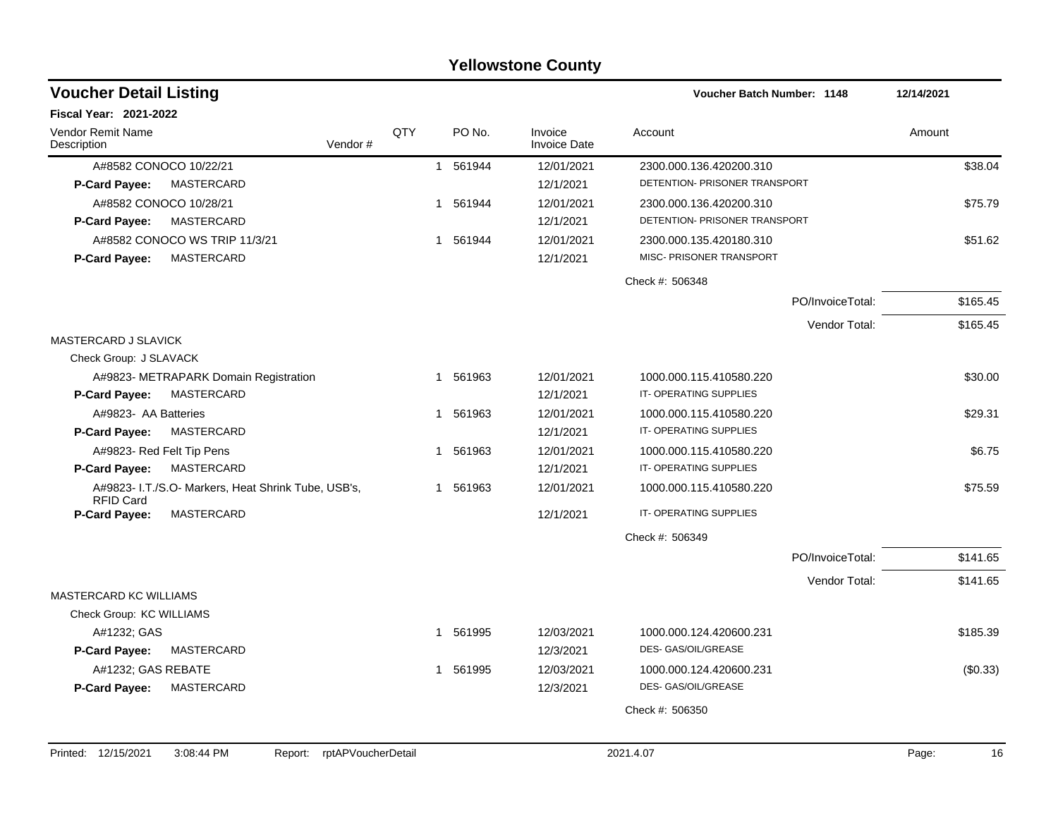#### A#8582 CONOCO 10/22/21 1 1 561944 12/01/2021 2300.000.136.420200.310 538.04 **P-Card Payee:** MASTERCARD 12/1/2021 DETENTION- PRISONER TRANSPORT A#8582 CONOCO 10/28/21 661944 12/01/2021 2300.000.136.420200.310 375.79 **P-Card Payee:** MASTERCARD **NASTER ARE A CONSUMING A PAYABLE 12/1/2021** DETENTION- PRISONER TRANSPORT A#8582 CONOCO WS TRIP 11/3/21 1 561944 12/01/2021 2300.000.135.420180.310 **P-Card Payee:** MASTERCARD MISC- PRISONER TRANSPORT MISC- PRISONER TRANSPORT Check #: 506348 PO/InvoiceTotal: \$165.45 Vendor Total: \$165.45 MASTERCARD J SLAVICK Check Group: J SLAVACK A#9823- METRAPARK Domain Registration 1 1 561963 12/01/2021 1000.000.115.410580.220 530.00 **P-Card Payee:** MASTERCARD **12/1/2021** IT-OPERATING SUPPLIES A#9823- AA Batteries 6 1 561963 12/01/2021 1000.000.115.410580.220 529.31 **P-Card Payee:** MASTERCARD **12/1/2021** IT-OPERATING SUPPLIES A#9823- Red Felt Tip Pens **1 561963** 12/01/2021 1000.000.115.410580.220 **1000.000 115.410580.220 P-Card Payee:** MASTERCARD **12/1/2021** IT-OPERATING SUPPLIES A#9823- I.T./S.O- Markers, Heat Shrink Tube, USB's, RFID Card 1 561963 12/01/2021 1000.000.115.410580.220 \$75.59 **P-Card Payee:** MASTERCARD **12/1/2021** IT-OPERATING SUPPLIES Check #: 506349 PO/InvoiceTotal: \$141.65 Vendor Total: \$141.65 MASTERCARD KC WILLIAMS Check Group: KC WILLIAMS A#1232; GAS 1 561995 12/03/2021 1000.000.124.420600.231 \$185.39 **P-Card Payee:** MASTERCARD **12/3/2021** DES- GAS/OIL/GREASE A#1232; GAS REBATE 1 1 561995 12/03/2021 1000.000.124.420600.231 (\$0.33) **Voucher Batch Number:** Vendor Remit Name **Description Voucher Detail Listing Fiscal Year: 2021-2022 1148 12/14/2021** PO No. Invoice Account Amount Amount Amount Amount Vendor # QTY Invoice Date

**P-Card Payee:** MASTERCARD 12/3/2021 DES- GAS/OIL/GREASE

**Yellowstone County**

Check #: 506350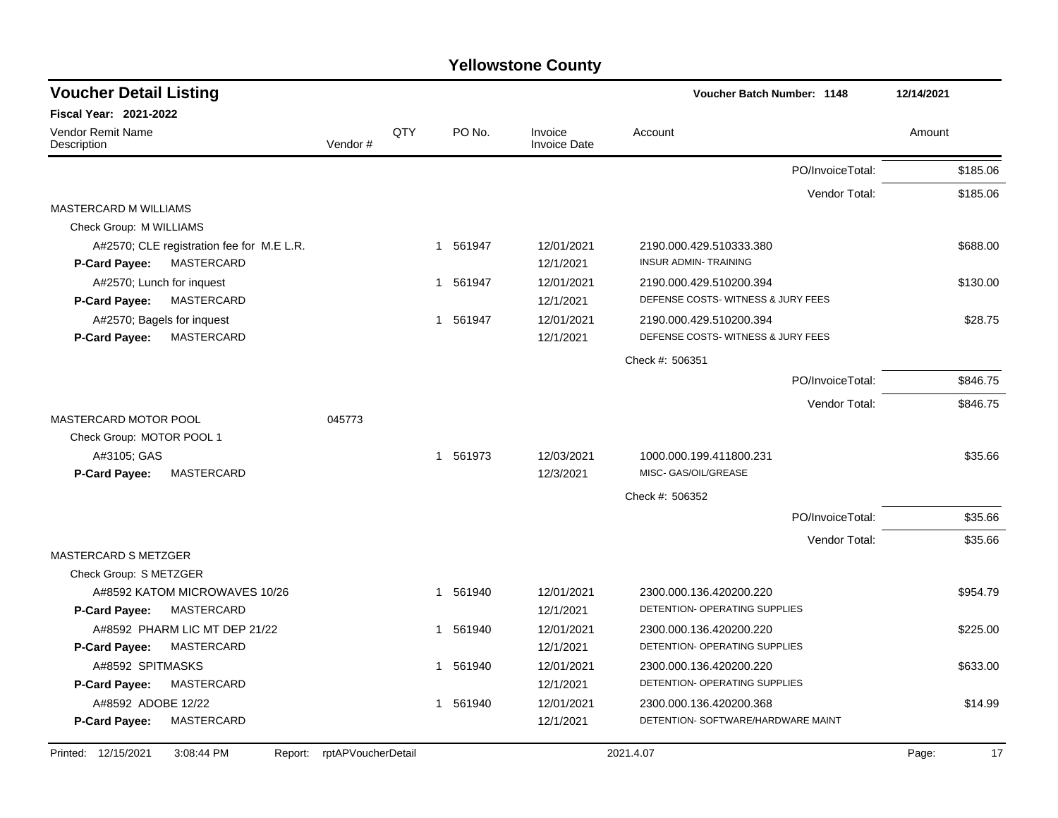| <b>Voucher Detail Listing</b>                |                    |     |                        |                                | Voucher Batch Number: 1148         |                  | 12/14/2021  |
|----------------------------------------------|--------------------|-----|------------------------|--------------------------------|------------------------------------|------------------|-------------|
| Fiscal Year: 2021-2022                       |                    |     |                        |                                |                                    |                  |             |
| Vendor Remit Name<br>Description             | Vendor#            | QTY | PO No.                 | Invoice<br><b>Invoice Date</b> | Account                            |                  | Amount      |
|                                              |                    |     |                        |                                |                                    | PO/InvoiceTotal: | \$185.06    |
|                                              |                    |     |                        |                                |                                    | Vendor Total:    | \$185.06    |
| <b>MASTERCARD M WILLIAMS</b>                 |                    |     |                        |                                |                                    |                  |             |
| Check Group: M WILLIAMS                      |                    |     |                        |                                |                                    |                  |             |
| A#2570; CLE registration fee for M.E L.R.    |                    |     | 1 561947               | 12/01/2021                     | 2190.000.429.510333.380            |                  | \$688.00    |
| MASTERCARD<br>P-Card Payee:                  |                    |     |                        | 12/1/2021                      | <b>INSUR ADMIN- TRAINING</b>       |                  |             |
| A#2570; Lunch for inquest                    |                    |     | 1 561947               | 12/01/2021                     | 2190.000.429.510200.394            |                  | \$130.00    |
| MASTERCARD<br><b>P-Card Payee:</b>           |                    |     |                        | 12/1/2021                      | DEFENSE COSTS-WITNESS & JURY FEES  |                  |             |
| A#2570; Bagels for inquest                   |                    |     | 1 561947               | 12/01/2021                     | 2190.000.429.510200.394            |                  | \$28.75     |
| P-Card Payee:<br><b>MASTERCARD</b>           |                    |     |                        | 12/1/2021                      | DEFENSE COSTS-WITNESS & JURY FEES  |                  |             |
|                                              |                    |     |                        |                                | Check #: 506351                    |                  |             |
|                                              |                    |     |                        |                                |                                    | PO/InvoiceTotal: | \$846.75    |
|                                              |                    |     |                        |                                |                                    | Vendor Total:    | \$846.75    |
| MASTERCARD MOTOR POOL                        | 045773             |     |                        |                                |                                    |                  |             |
| Check Group: MOTOR POOL 1                    |                    |     |                        |                                |                                    |                  |             |
| A#3105; GAS                                  |                    |     | 1 561973               | 12/03/2021                     | 1000.000.199.411800.231            |                  | \$35.66     |
| MASTERCARD<br>P-Card Payee:                  |                    |     |                        | 12/3/2021                      | MISC- GAS/OIL/GREASE               |                  |             |
|                                              |                    |     |                        |                                | Check #: 506352                    |                  |             |
|                                              |                    |     |                        |                                |                                    | PO/InvoiceTotal: | \$35.66     |
|                                              |                    |     |                        |                                |                                    | Vendor Total:    | \$35.66     |
| <b>MASTERCARD S METZGER</b>                  |                    |     |                        |                                |                                    |                  |             |
| Check Group: S METZGER                       |                    |     |                        |                                |                                    |                  |             |
| A#8592 KATOM MICROWAVES 10/26                |                    |     | 1 561940               | 12/01/2021                     | 2300.000.136.420200.220            |                  | \$954.79    |
| MASTERCARD<br><b>P-Card Payee:</b>           |                    |     |                        | 12/1/2021                      | DETENTION- OPERATING SUPPLIES      |                  |             |
| A#8592 PHARM LIC MT DEP 21/22                |                    |     | 1 561940               | 12/01/2021                     | 2300.000.136.420200.220            |                  | \$225.00    |
| <b>MASTERCARD</b><br><b>P-Card Payee:</b>    |                    |     |                        | 12/1/2021                      | DETENTION- OPERATING SUPPLIES      |                  |             |
| A#8592 SPITMASKS                             |                    |     | 1 561940               | 12/01/2021                     | 2300.000.136.420200.220            |                  | \$633.00    |
| MASTERCARD<br><b>P-Card Payee:</b>           |                    |     |                        | 12/1/2021                      | DETENTION- OPERATING SUPPLIES      |                  |             |
| A#8592 ADOBE 12/22                           |                    |     | 561940<br>$\mathbf{1}$ | 12/01/2021                     | 2300.000.136.420200.368            |                  | \$14.99     |
| <b>MASTERCARD</b><br>P-Card Payee:           |                    |     |                        | 12/1/2021                      | DETENTION- SOFTWARE/HARDWARE MAINT |                  |             |
| Printed: 12/15/2021<br>3:08:44 PM<br>Report: | rptAPVoucherDetail |     |                        |                                | 2021.4.07                          |                  | 17<br>Page: |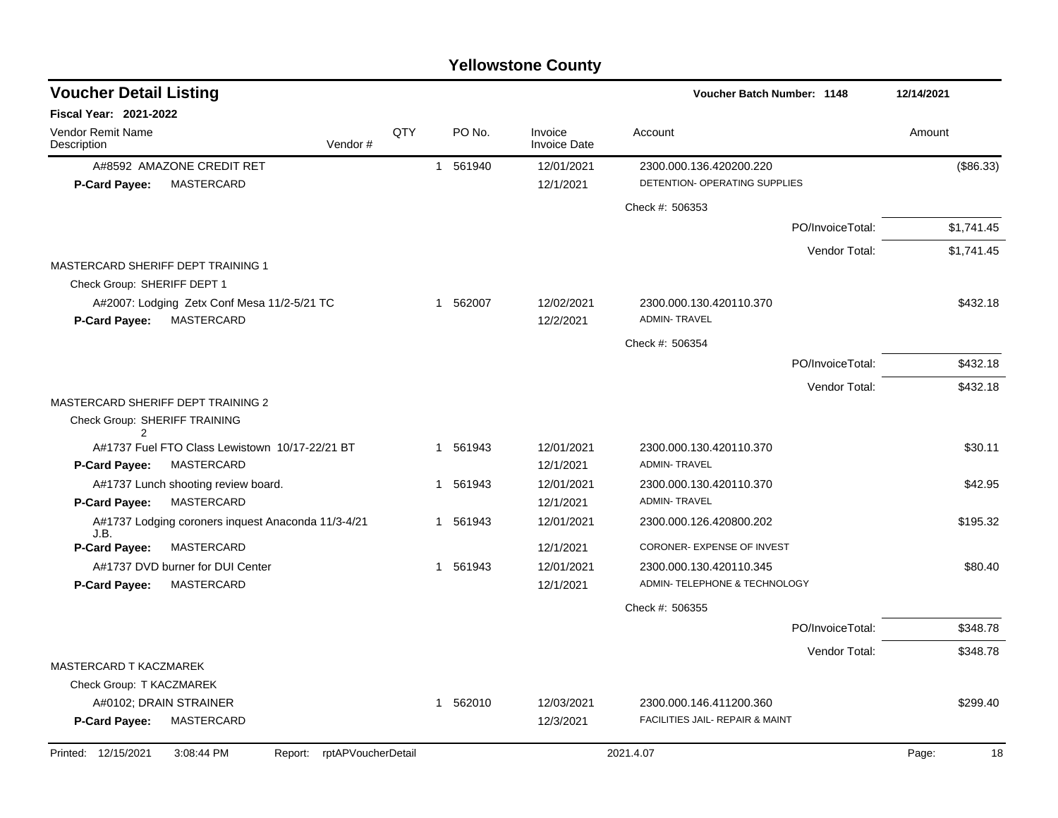| <b>Voucher Detail Listing</b>                                                            |                    |     |          |                                | Voucher Batch Number: 1148                     |                  | 12/14/2021  |
|------------------------------------------------------------------------------------------|--------------------|-----|----------|--------------------------------|------------------------------------------------|------------------|-------------|
| <b>Fiscal Year: 2021-2022</b>                                                            |                    |     |          |                                |                                                |                  |             |
| <b>Vendor Remit Name</b><br>Description                                                  | Vendor#            | QTY | PO No.   | Invoice<br><b>Invoice Date</b> | Account                                        |                  | Amount      |
| A#8592 AMAZONE CREDIT RET                                                                |                    |     | 1 561940 | 12/01/2021                     | 2300.000.136.420200.220                        |                  | (\$86.33)   |
| <b>MASTERCARD</b><br><b>P-Card Payee:</b>                                                |                    |     |          | 12/1/2021                      | DETENTION- OPERATING SUPPLIES                  |                  |             |
|                                                                                          |                    |     |          |                                | Check #: 506353                                |                  |             |
|                                                                                          |                    |     |          |                                |                                                | PO/InvoiceTotal: | \$1,741.45  |
|                                                                                          |                    |     |          |                                |                                                | Vendor Total:    | \$1,741.45  |
| MASTERCARD SHERIFF DEPT TRAINING 1                                                       |                    |     |          |                                |                                                |                  |             |
| Check Group: SHERIFF DEPT 1                                                              |                    |     |          |                                |                                                |                  |             |
| A#2007: Lodging Zetx Conf Mesa 11/2-5/21 TC<br><b>MASTERCARD</b><br><b>P-Card Payee:</b> |                    |     | 1 562007 | 12/02/2021<br>12/2/2021        | 2300.000.130.420110.370<br><b>ADMIN-TRAVEL</b> |                  | \$432.18    |
|                                                                                          |                    |     |          |                                | Check #: 506354                                |                  |             |
|                                                                                          |                    |     |          |                                |                                                | PO/InvoiceTotal: | \$432.18    |
|                                                                                          |                    |     |          |                                |                                                | Vendor Total:    | \$432.18    |
| MASTERCARD SHERIFF DEPT TRAINING 2                                                       |                    |     |          |                                |                                                |                  |             |
| Check Group: SHERIFF TRAINING                                                            |                    |     |          |                                |                                                |                  |             |
| 2<br>A#1737 Fuel FTO Class Lewistown 10/17-22/21 BT                                      |                    |     | 1 561943 | 12/01/2021                     | 2300.000.130.420110.370                        |                  | \$30.11     |
| P-Card Payee:<br><b>MASTERCARD</b>                                                       |                    |     |          | 12/1/2021                      | <b>ADMIN-TRAVEL</b>                            |                  |             |
| A#1737 Lunch shooting review board.                                                      |                    |     | 1 561943 | 12/01/2021                     | 2300.000.130.420110.370                        |                  | \$42.95     |
| <b>MASTERCARD</b><br><b>P-Card Payee:</b>                                                |                    |     |          | 12/1/2021                      | <b>ADMIN-TRAVEL</b>                            |                  |             |
| A#1737 Lodging coroners inquest Anaconda 11/3-4/21                                       |                    |     | 1 561943 | 12/01/2021                     | 2300.000.126.420800.202                        |                  | \$195.32    |
| J.B.<br><b>P-Card Payee:</b><br><b>MASTERCARD</b>                                        |                    |     |          | 12/1/2021                      | CORONER- EXPENSE OF INVEST                     |                  |             |
| A#1737 DVD burner for DUI Center                                                         |                    |     | 1 561943 | 12/01/2021                     | 2300.000.130.420110.345                        |                  | \$80.40     |
| P-Card Payee:<br>MASTERCARD                                                              |                    |     |          | 12/1/2021                      | ADMIN- TELEPHONE & TECHNOLOGY                  |                  |             |
|                                                                                          |                    |     |          |                                | Check #: 506355                                |                  |             |
|                                                                                          |                    |     |          |                                |                                                | PO/InvoiceTotal: | \$348.78    |
|                                                                                          |                    |     |          |                                |                                                | Vendor Total:    | \$348.78    |
| MASTERCARD T KACZMAREK                                                                   |                    |     |          |                                |                                                |                  |             |
| Check Group: T KACZMAREK                                                                 |                    |     |          |                                |                                                |                  |             |
| A#0102; DRAIN STRAINER                                                                   |                    |     | 1 562010 | 12/03/2021                     | 2300.000.146.411200.360                        |                  | \$299.40    |
| P-Card Payee:<br>MASTERCARD                                                              |                    |     |          | 12/3/2021                      | FACILITIES JAIL- REPAIR & MAINT                |                  |             |
| Printed: 12/15/2021<br>3:08:44 PM<br>Report:                                             | rptAPVoucherDetail |     |          |                                | 2021.4.07                                      |                  | 18<br>Page: |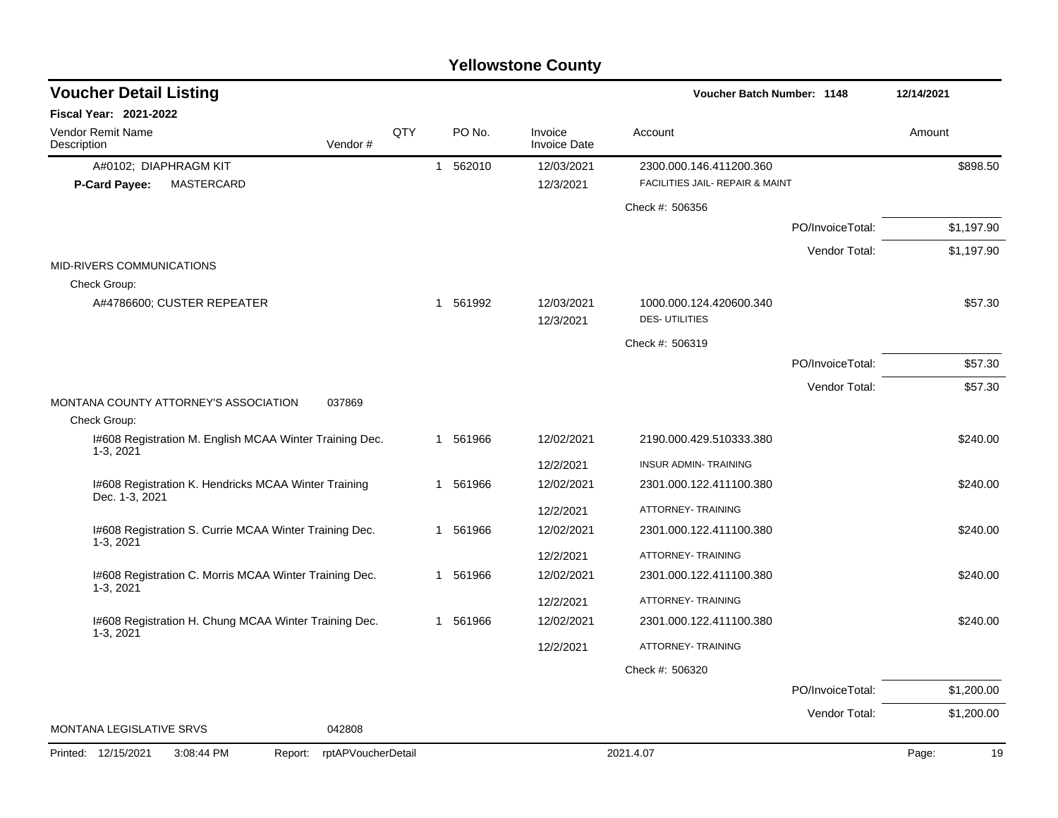| <b>Voucher Detail Listing</b>                                          |                    |          |                                | Voucher Batch Number: 1148                      |                  | 12/14/2021 |          |
|------------------------------------------------------------------------|--------------------|----------|--------------------------------|-------------------------------------------------|------------------|------------|----------|
| <b>Fiscal Year: 2021-2022</b>                                          |                    |          |                                |                                                 |                  |            |          |
| <b>Vendor Remit Name</b><br>Vendor#<br>Description                     | <b>QTY</b>         | PO No.   | Invoice<br><b>Invoice Date</b> | Account                                         |                  | Amount     |          |
| A#0102; DIAPHRAGM KIT                                                  |                    | 1 562010 | 12/03/2021                     | 2300.000.146.411200.360                         |                  |            | \$898.50 |
| MASTERCARD<br>P-Card Payee:                                            |                    |          | 12/3/2021                      | FACILITIES JAIL- REPAIR & MAINT                 |                  |            |          |
|                                                                        |                    |          |                                | Check #: 506356                                 |                  |            |          |
|                                                                        |                    |          |                                |                                                 | PO/InvoiceTotal: | \$1,197.90 |          |
|                                                                        |                    |          |                                |                                                 | Vendor Total:    | \$1,197.90 |          |
| MID-RIVERS COMMUNICATIONS                                              |                    |          |                                |                                                 |                  |            |          |
| Check Group:                                                           |                    |          |                                |                                                 |                  |            |          |
| A#4786600; CUSTER REPEATER                                             |                    | 1 561992 | 12/03/2021<br>12/3/2021        | 1000.000.124.420600.340<br><b>DES-UTILITIES</b> |                  |            | \$57.30  |
|                                                                        |                    |          |                                | Check #: 506319                                 |                  |            |          |
|                                                                        |                    |          |                                |                                                 | PO/InvoiceTotal: |            | \$57.30  |
|                                                                        |                    |          |                                |                                                 | Vendor Total:    |            | \$57.30  |
| MONTANA COUNTY ATTORNEY'S ASSOCIATION<br>037869                        |                    |          |                                |                                                 |                  |            |          |
| Check Group:                                                           |                    |          |                                |                                                 |                  |            |          |
| I#608 Registration M. English MCAA Winter Training Dec.<br>1-3, 2021   |                    | 1 561966 | 12/02/2021                     | 2190.000.429.510333.380                         |                  |            | \$240.00 |
|                                                                        |                    |          | 12/2/2021                      | <b>INSUR ADMIN-TRAINING</b>                     |                  |            |          |
| I#608 Registration K. Hendricks MCAA Winter Training<br>Dec. 1-3, 2021 |                    | 1 561966 | 12/02/2021                     | 2301.000.122.411100.380                         |                  |            | \$240.00 |
|                                                                        |                    |          | 12/2/2021                      | ATTORNEY- TRAINING                              |                  |            |          |
| I#608 Registration S. Currie MCAA Winter Training Dec.<br>$1-3, 2021$  |                    | 1 561966 | 12/02/2021                     | 2301.000.122.411100.380                         |                  |            | \$240.00 |
|                                                                        |                    |          | 12/2/2021                      | ATTORNEY- TRAINING                              |                  |            |          |
| I#608 Registration C. Morris MCAA Winter Training Dec.                 |                    | 1 561966 | 12/02/2021                     | 2301.000.122.411100.380                         |                  |            | \$240.00 |
| 1-3, 2021                                                              |                    |          | 12/2/2021                      | ATTORNEY- TRAINING                              |                  |            |          |
| I#608 Registration H. Chung MCAA Winter Training Dec.                  |                    | 1 561966 | 12/02/2021                     | 2301.000.122.411100.380                         |                  |            | \$240.00 |
| $1-3, 2021$                                                            |                    |          | 12/2/2021                      | ATTORNEY- TRAINING                              |                  |            |          |
|                                                                        |                    |          |                                | Check #: 506320                                 |                  |            |          |
|                                                                        |                    |          |                                |                                                 | PO/InvoiceTotal: | \$1,200.00 |          |
|                                                                        |                    |          |                                |                                                 | Vendor Total:    | \$1,200.00 |          |
| MONTANA LEGISLATIVE SRVS<br>042808                                     |                    |          |                                |                                                 |                  |            |          |
| Printed: 12/15/2021<br>3:08:44 PM<br>Report:                           | rptAPVoucherDetail |          |                                | 2021.4.07                                       |                  | Page:      | 19       |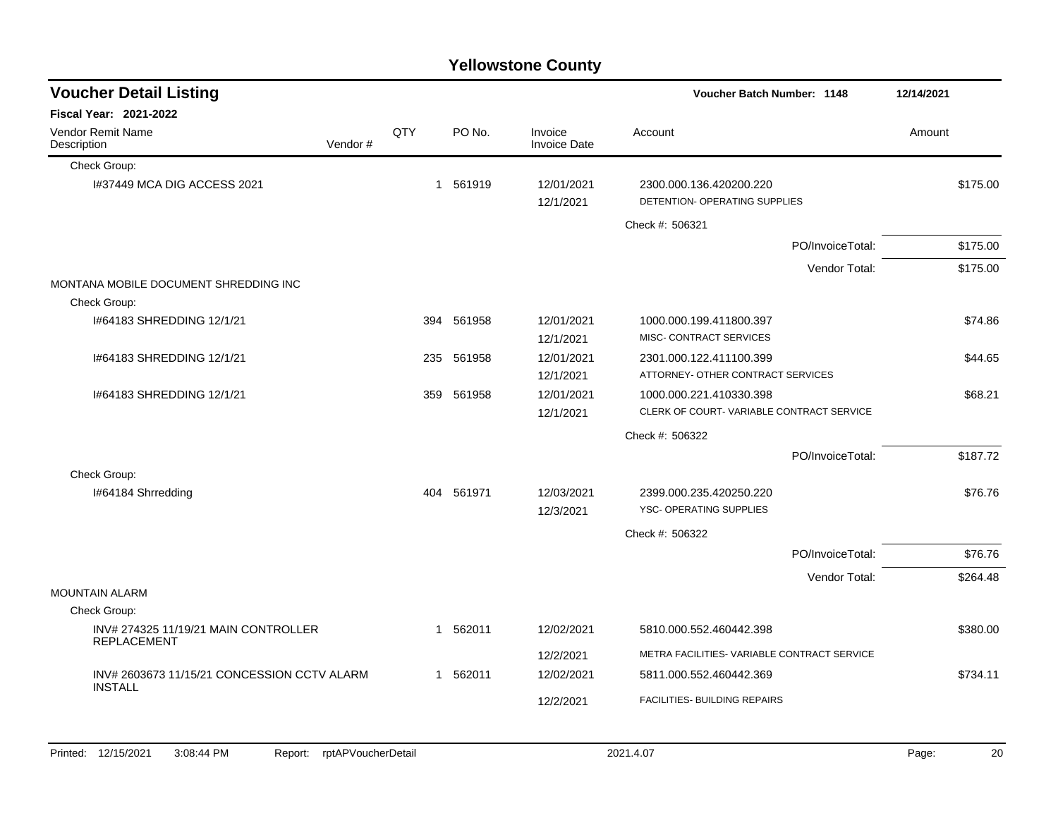|  | <b>Yellowstone County</b> |  |
|--|---------------------------|--|
|--|---------------------------|--|

| <b>Voucher Detail Listing</b>                              |         |              |            |                                | Voucher Batch Number: 1148                               | 12/14/2021 |
|------------------------------------------------------------|---------|--------------|------------|--------------------------------|----------------------------------------------------------|------------|
| <b>Fiscal Year: 2021-2022</b>                              |         |              |            |                                |                                                          |            |
| Vendor Remit Name<br>Description                           | Vendor# | QTY          | PO No.     | Invoice<br><b>Invoice Date</b> | Account                                                  | Amount     |
| Check Group:                                               |         |              |            |                                |                                                          |            |
| 1#37449 MCA DIG ACCESS 2021                                |         | $\mathbf{1}$ | 561919     | 12/01/2021<br>12/1/2021        | 2300.000.136.420200.220<br>DETENTION- OPERATING SUPPLIES | \$175.00   |
|                                                            |         |              |            |                                | Check #: 506321                                          |            |
|                                                            |         |              |            |                                | PO/InvoiceTotal:                                         | \$175.00   |
|                                                            |         |              |            |                                | Vendor Total:                                            | \$175.00   |
| MONTANA MOBILE DOCUMENT SHREDDING INC                      |         |              |            |                                |                                                          |            |
| Check Group:                                               |         |              |            |                                |                                                          |            |
| 1#64183 SHREDDING 12/1/21                                  |         | 394          | 561958     | 12/01/2021                     | 1000.000.199.411800.397                                  | \$74.86    |
|                                                            |         |              |            | 12/1/2021                      | MISC- CONTRACT SERVICES                                  |            |
| 1#64183 SHREDDING 12/1/21                                  |         | 235          | 561958     | 12/01/2021                     | 2301.000.122.411100.399                                  | \$44.65    |
|                                                            |         |              |            | 12/1/2021                      | ATTORNEY- OTHER CONTRACT SERVICES                        |            |
| 1#64183 SHREDDING 12/1/21                                  |         | 359          | 561958     | 12/01/2021                     | 1000.000.221.410330.398                                  | \$68.21    |
|                                                            |         |              |            | 12/1/2021                      | CLERK OF COURT-VARIABLE CONTRACT SERVICE                 |            |
|                                                            |         |              |            |                                | Check #: 506322                                          |            |
|                                                            |         |              |            |                                | PO/InvoiceTotal:                                         | \$187.72   |
| Check Group:                                               |         |              |            |                                |                                                          |            |
| I#64184 Shrredding                                         |         |              | 404 561971 | 12/03/2021                     | 2399.000.235.420250.220                                  | \$76.76    |
|                                                            |         |              |            | 12/3/2021                      | <b>YSC- OPERATING SUPPLIES</b>                           |            |
|                                                            |         |              |            |                                | Check #: 506322                                          |            |
|                                                            |         |              |            |                                | PO/InvoiceTotal:                                         | \$76.76    |
|                                                            |         |              |            |                                | Vendor Total:                                            | \$264.48   |
| <b>MOUNTAIN ALARM</b>                                      |         |              |            |                                |                                                          |            |
| Check Group:                                               |         |              |            |                                |                                                          |            |
| INV# 274325 11/19/21 MAIN CONTROLLER<br><b>REPLACEMENT</b> |         |              | 1 562011   | 12/02/2021                     | 5810.000.552.460442.398                                  | \$380.00   |
|                                                            |         |              |            | 12/2/2021                      | METRA FACILITIES- VARIABLE CONTRACT SERVICE              |            |
| INV# 2603673 11/15/21 CONCESSION CCTV ALARM                |         |              | 1 562011   | 12/02/2021                     | 5811.000.552.460442.369                                  | \$734.11   |
| <b>INSTALL</b>                                             |         |              |            |                                |                                                          |            |
|                                                            |         |              |            | 12/2/2021                      | FACILITIES- BUILDING REPAIRS                             |            |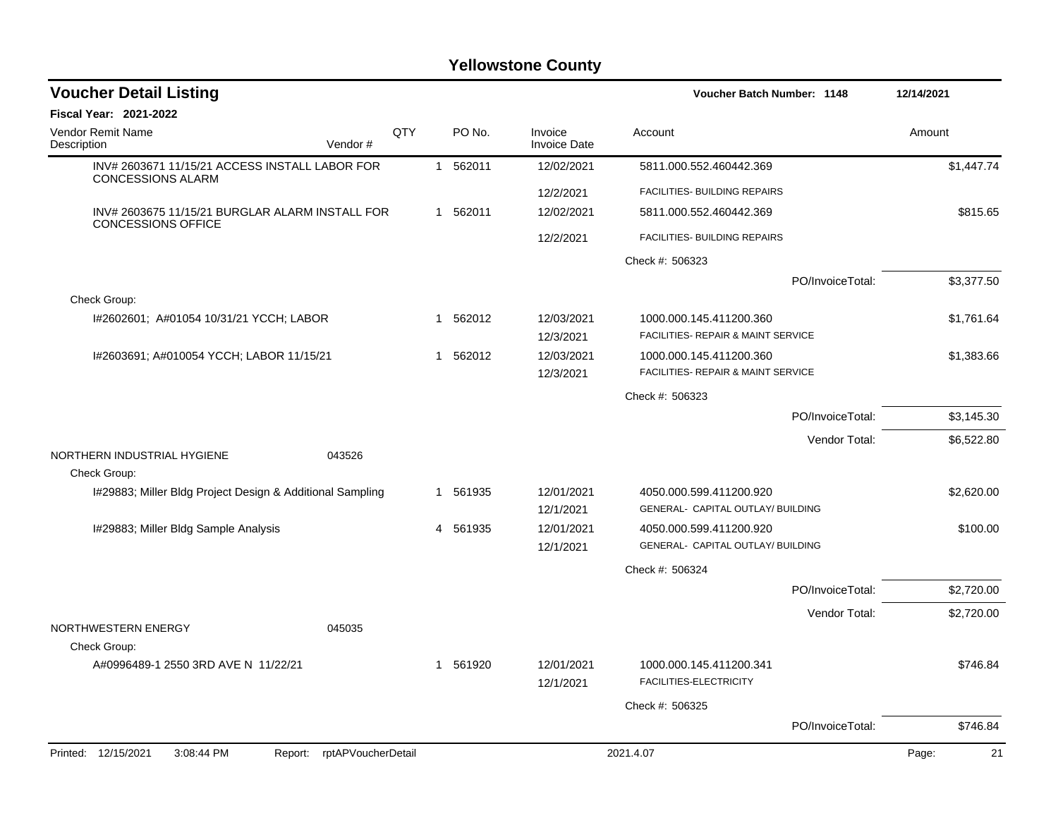| <b>Voucher Detail Listing</b>                                              |     |              |          |                                | Voucher Batch Number: 1148                                    |                  | 12/14/2021  |
|----------------------------------------------------------------------------|-----|--------------|----------|--------------------------------|---------------------------------------------------------------|------------------|-------------|
| <b>Fiscal Year: 2021-2022</b>                                              |     |              |          |                                |                                                               |                  |             |
| Vendor Remit Name<br>Description<br>Vendor#                                | QTY |              | PO No.   | Invoice<br><b>Invoice Date</b> | Account                                                       |                  | Amount      |
| INV# 2603671 11/15/21 ACCESS INSTALL LABOR FOR<br><b>CONCESSIONS ALARM</b> |     |              | 1 562011 | 12/02/2021                     | 5811.000.552.460442.369                                       |                  | \$1,447.74  |
|                                                                            |     |              |          | 12/2/2021                      | FACILITIES- BUILDING REPAIRS                                  |                  |             |
| INV# 2603675 11/15/21 BURGLAR ALARM INSTALL FOR                            |     |              | 1 562011 | 12/02/2021                     | 5811.000.552.460442.369                                       |                  | \$815.65    |
| <b>CONCESSIONS OFFICE</b>                                                  |     |              |          | 12/2/2021                      | FACILITIES- BUILDING REPAIRS                                  |                  |             |
|                                                                            |     |              |          |                                | Check #: 506323                                               |                  |             |
|                                                                            |     |              |          |                                |                                                               | PO/InvoiceTotal: | \$3,377.50  |
| Check Group:                                                               |     |              |          |                                |                                                               |                  |             |
| I#2602601; A#01054 10/31/21 YCCH; LABOR                                    |     | 1            | 562012   | 12/03/2021<br>12/3/2021        | 1000.000.145.411200.360<br>FACILITIES- REPAIR & MAINT SERVICE |                  | \$1,761.64  |
| I#2603691; A#010054 YCCH; LABOR 11/15/21                                   |     | $\mathbf{1}$ | 562012   | 12/03/2021<br>12/3/2021        | 1000.000.145.411200.360<br>FACILITIES- REPAIR & MAINT SERVICE |                  | \$1,383.66  |
|                                                                            |     |              |          |                                | Check #: 506323                                               |                  |             |
|                                                                            |     |              |          |                                |                                                               | PO/InvoiceTotal: | \$3,145.30  |
|                                                                            |     |              |          |                                |                                                               | Vendor Total:    | \$6,522.80  |
| NORTHERN INDUSTRIAL HYGIENE<br>043526                                      |     |              |          |                                |                                                               |                  |             |
| Check Group:                                                               |     |              |          |                                |                                                               |                  |             |
| I#29883; Miller Bldg Project Design & Additional Sampling                  |     |              | 1 561935 | 12/01/2021                     | 4050.000.599.411200.920<br>GENERAL- CAPITAL OUTLAY/ BUILDING  |                  | \$2,620.00  |
|                                                                            |     |              |          | 12/1/2021                      |                                                               |                  |             |
| I#29883; Miller Bldg Sample Analysis                                       |     | 4            | 561935   | 12/01/2021<br>12/1/2021        | 4050.000.599.411200.920<br>GENERAL- CAPITAL OUTLAY/ BUILDING  |                  | \$100.00    |
|                                                                            |     |              |          |                                | Check #: 506324                                               |                  |             |
|                                                                            |     |              |          |                                |                                                               | PO/InvoiceTotal: | \$2,720.00  |
|                                                                            |     |              |          |                                |                                                               | Vendor Total:    | \$2,720.00  |
| NORTHWESTERN ENERGY<br>045035                                              |     |              |          |                                |                                                               |                  |             |
| Check Group:                                                               |     |              |          |                                |                                                               |                  |             |
| A#0996489-1 2550 3RD AVE N 11/22/21                                        |     | 1            | 561920   | 12/01/2021<br>12/1/2021        | 1000.000.145.411200.341<br>FACILITIES-ELECTRICITY             |                  | \$746.84    |
|                                                                            |     |              |          |                                | Check #: 506325                                               |                  |             |
|                                                                            |     |              |          |                                |                                                               | PO/InvoiceTotal: | \$746.84    |
| Printed: 12/15/2021<br>rptAPVoucherDetail<br>3:08:44 PM<br>Report:         |     |              |          |                                | 2021.4.07                                                     |                  | 21<br>Page: |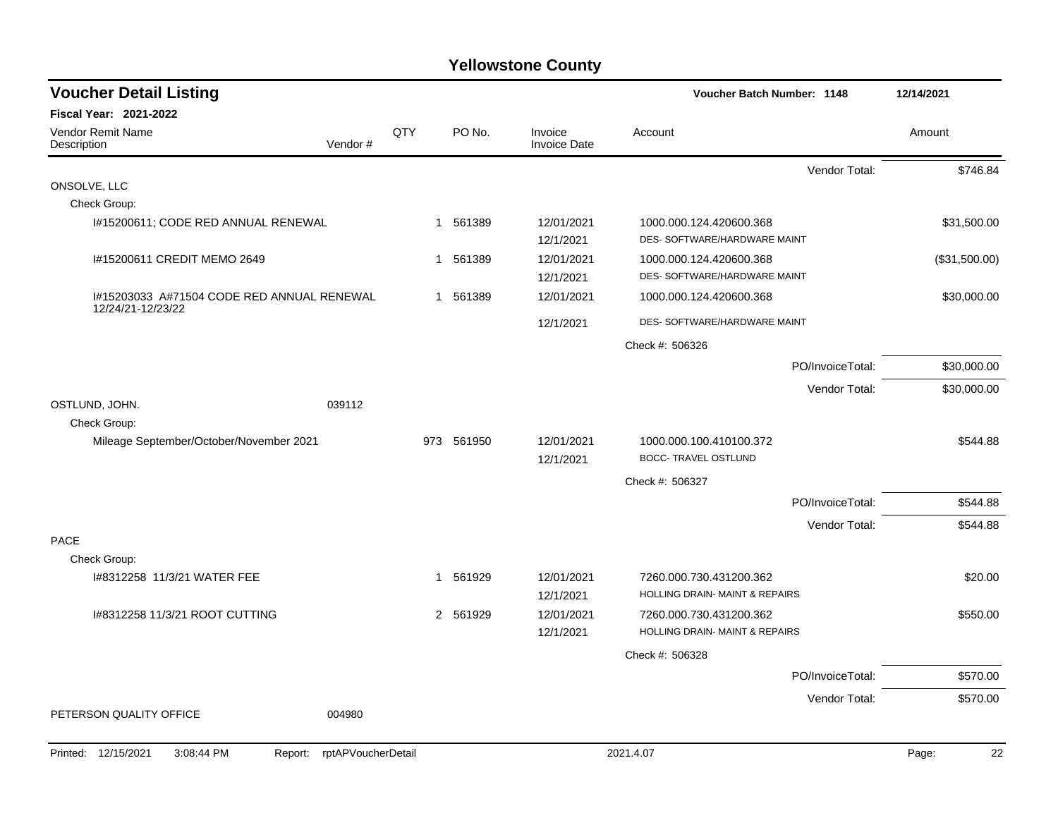| <b>Voucher Detail Listing</b>                                      |               |                                | Voucher Batch Number: 1148                              | 12/14/2021    |
|--------------------------------------------------------------------|---------------|--------------------------------|---------------------------------------------------------|---------------|
| Fiscal Year: 2021-2022                                             |               |                                |                                                         |               |
| Vendor Remit Name<br>Vendor#<br>Description                        | QTY<br>PO No. | Invoice<br><b>Invoice Date</b> | Account                                                 | Amount        |
|                                                                    |               |                                | Vendor Total:                                           | \$746.84      |
| ONSOLVE, LLC                                                       |               |                                |                                                         |               |
| Check Group:                                                       |               |                                |                                                         |               |
| #15200611; CODE RED ANNUAL RENEWAL                                 | 1 561389      | 12/01/2021<br>12/1/2021        | 1000.000.124.420600.368<br>DES- SOFTWARE/HARDWARE MAINT | \$31,500.00   |
| I#15200611 CREDIT MEMO 2649                                        | 1 561389      | 12/01/2021<br>12/1/2021        | 1000.000.124.420600.368<br>DES- SOFTWARE/HARDWARE MAINT | (\$31,500.00) |
| I#15203033 A#71504 CODE RED ANNUAL RENEWAL                         | 1 561389      | 12/01/2021                     | 1000.000.124.420600.368                                 | \$30,000.00   |
| 12/24/21-12/23/22                                                  |               | 12/1/2021                      | DES- SOFTWARE/HARDWARE MAINT                            |               |
|                                                                    |               |                                | Check #: 506326                                         |               |
|                                                                    |               |                                | PO/InvoiceTotal:                                        | \$30,000.00   |
|                                                                    |               |                                | Vendor Total:                                           | \$30,000.00   |
| OSTLUND, JOHN.<br>039112                                           |               |                                |                                                         |               |
| Check Group:                                                       |               |                                |                                                         |               |
| Mileage September/October/November 2021                            | 973 561950    | 12/01/2021<br>12/1/2021        | 1000.000.100.410100.372<br><b>BOCC- TRAVEL OSTLUND</b>  | \$544.88      |
|                                                                    |               |                                | Check #: 506327                                         |               |
|                                                                    |               |                                | PO/InvoiceTotal:                                        | \$544.88      |
|                                                                    |               |                                | Vendor Total:                                           | \$544.88      |
| <b>PACE</b>                                                        |               |                                |                                                         |               |
| Check Group:<br>1#8312258 11/3/21 WATER FEE                        | 1 561929      | 12/01/2021                     | 7260.000.730.431200.362                                 | \$20.00       |
|                                                                    |               | 12/1/2021                      | HOLLING DRAIN- MAINT & REPAIRS                          |               |
| I#8312258 11/3/21 ROOT CUTTING                                     | 2 561929      | 12/01/2021                     | 7260.000.730.431200.362                                 | \$550.00      |
|                                                                    |               | 12/1/2021                      | HOLLING DRAIN- MAINT & REPAIRS                          |               |
|                                                                    |               |                                | Check #: 506328                                         |               |
|                                                                    |               |                                | PO/InvoiceTotal:                                        | \$570.00      |
|                                                                    |               |                                | Vendor Total:                                           | \$570.00      |
| 004980<br>PETERSON QUALITY OFFICE                                  |               |                                |                                                         |               |
| Printed: 12/15/2021<br>3:08:44 PM<br>rptAPVoucherDetail<br>Report: |               |                                | 2021.4.07                                               | 22<br>Page:   |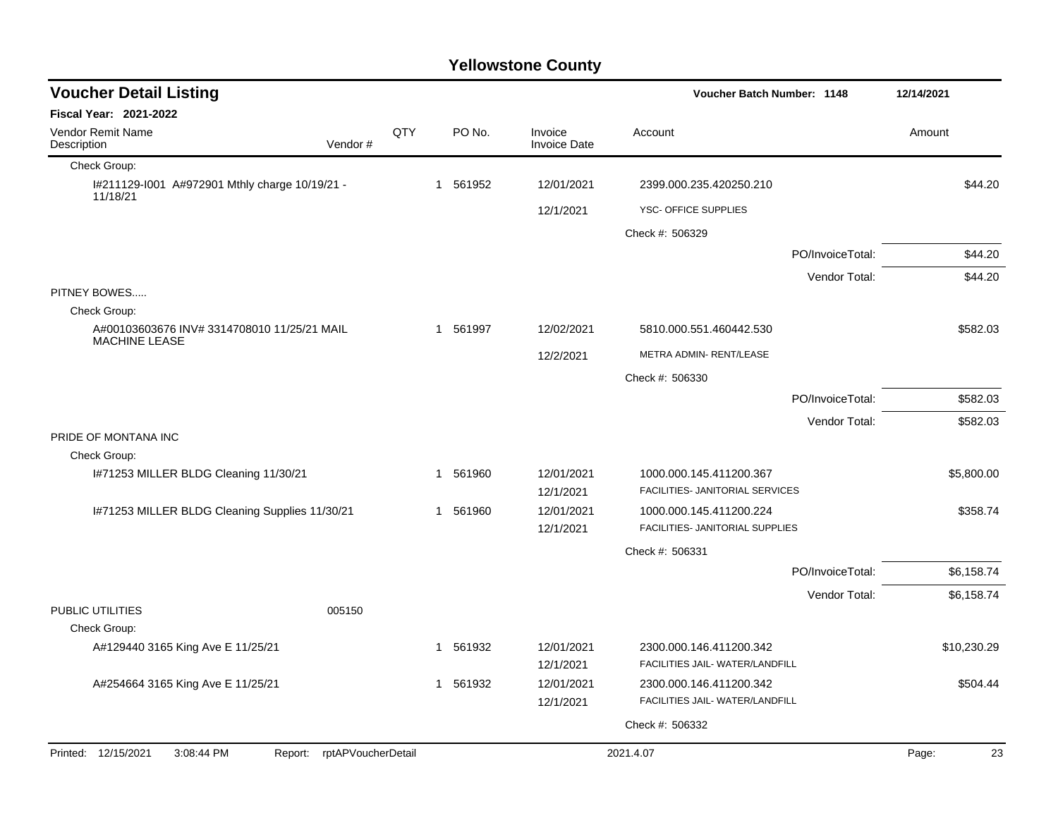| <b>Voucher Detail Listing</b><br><b>Voucher Batch Number: 1148</b> |                               |     | 12/14/2021            |                         |                                                            |                  |             |
|--------------------------------------------------------------------|-------------------------------|-----|-----------------------|-------------------------|------------------------------------------------------------|------------------|-------------|
| <b>Fiscal Year: 2021-2022</b>                                      |                               |     |                       |                         |                                                            |                  |             |
| Vendor Remit Name<br>Description                                   | Vendor#                       | QTY | PO No.                | Invoice<br>Invoice Date | Account                                                    |                  | Amount      |
| Check Group:                                                       |                               |     |                       |                         |                                                            |                  |             |
| I#211129-I001 A#972901 Mthly charge 10/19/21 -<br>11/18/21         |                               |     | 1 561952              | 12/01/2021              | 2399.000.235.420250.210                                    |                  | \$44.20     |
|                                                                    |                               |     |                       | 12/1/2021               | YSC- OFFICE SUPPLIES                                       |                  |             |
|                                                                    |                               |     |                       |                         | Check #: 506329                                            |                  |             |
|                                                                    |                               |     |                       |                         |                                                            | PO/InvoiceTotal: | \$44.20     |
|                                                                    |                               |     |                       |                         |                                                            | Vendor Total:    | \$44.20     |
| PITNEY BOWES<br>Check Group:                                       |                               |     |                       |                         |                                                            |                  |             |
| A#00103603676 INV# 3314708010 11/25/21 MAIL                        |                               |     | 561997<br>1           | 12/02/2021              | 5810.000.551.460442.530                                    |                  | \$582.03    |
| <b>MACHINE LEASE</b>                                               |                               |     |                       | 12/2/2021               | METRA ADMIN-RENT/LEASE                                     |                  |             |
|                                                                    |                               |     |                       |                         | Check #: 506330                                            |                  |             |
|                                                                    |                               |     |                       |                         |                                                            | PO/InvoiceTotal: | \$582.03    |
|                                                                    |                               |     |                       |                         |                                                            | Vendor Total:    | \$582.03    |
| PRIDE OF MONTANA INC<br>Check Group:                               |                               |     |                       |                         |                                                            |                  |             |
| I#71253 MILLER BLDG Cleaning 11/30/21                              |                               |     | 561960<br>1           | 12/01/2021              | 1000.000.145.411200.367                                    |                  | \$5,800.00  |
|                                                                    |                               |     |                       | 12/1/2021               | FACILITIES- JANITORIAL SERVICES                            |                  |             |
| I#71253 MILLER BLDG Cleaning Supplies 11/30/21                     |                               |     | 561960<br>1           | 12/01/2021              | 1000.000.145.411200.224<br>FACILITIES- JANITORIAL SUPPLIES |                  | \$358.74    |
|                                                                    |                               |     |                       | 12/1/2021               |                                                            |                  |             |
|                                                                    |                               |     |                       |                         | Check #: 506331                                            |                  |             |
|                                                                    |                               |     |                       |                         |                                                            | PO/InvoiceTotal: | \$6,158.74  |
| PUBLIC UTILITIES<br>Check Group:                                   | 005150                        |     |                       |                         |                                                            | Vendor Total:    | \$6,158.74  |
| A#129440 3165 King Ave E 11/25/21                                  |                               |     | 561932<br>$\mathbf 1$ | 12/01/2021<br>12/1/2021 | 2300.000.146.411200.342<br>FACILITIES JAIL- WATER/LANDFILL |                  | \$10,230.29 |
| A#254664 3165 King Ave E 11/25/21                                  |                               |     | 561932<br>1           | 12/01/2021<br>12/1/2021 | 2300.000.146.411200.342<br>FACILITIES JAIL- WATER/LANDFILL |                  | \$504.44    |
|                                                                    |                               |     |                       |                         | Check #: 506332                                            |                  |             |
| Printed: 12/15/2021<br>3:08:44 PM                                  | rptAPVoucherDetail<br>Report: |     |                       |                         | 2021.4.07                                                  |                  | 23<br>Page: |
|                                                                    |                               |     |                       |                         |                                                            |                  |             |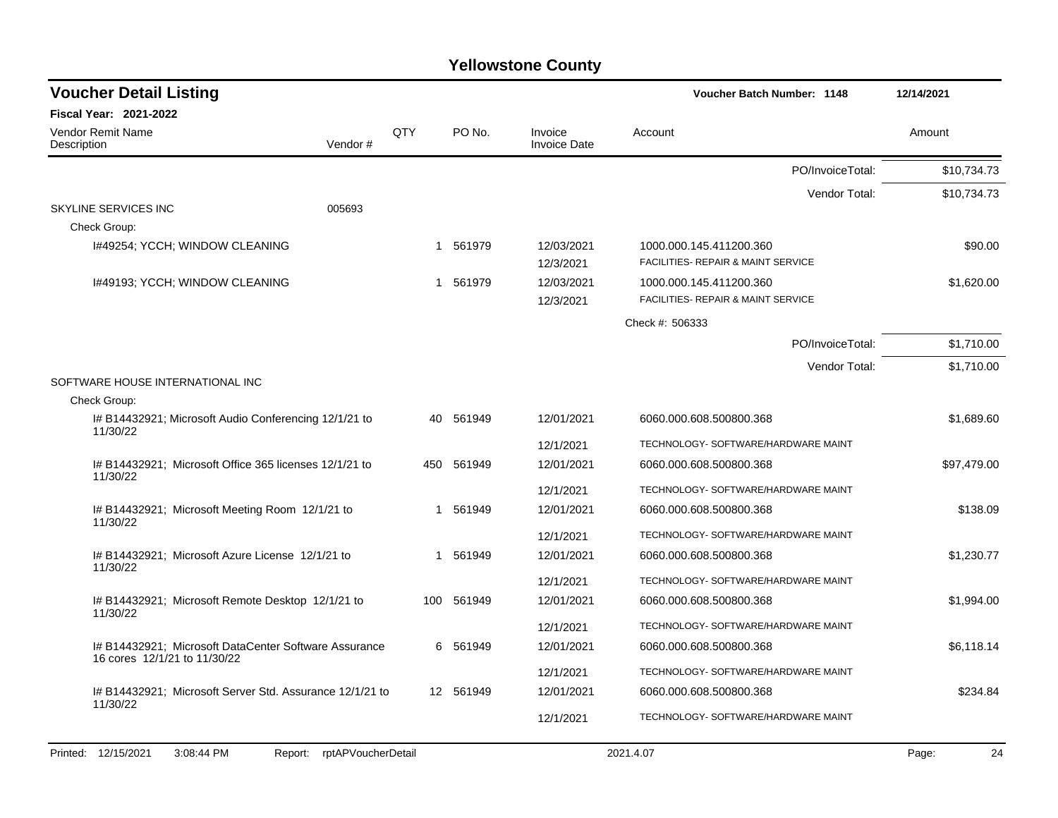| <b>Voucher Detail Listing</b>                                                         |         |     |            |                                | <b>Voucher Batch Number: 1148</b>                             | 12/14/2021  |
|---------------------------------------------------------------------------------------|---------|-----|------------|--------------------------------|---------------------------------------------------------------|-------------|
| <b>Fiscal Year: 2021-2022</b>                                                         |         |     |            |                                |                                                               |             |
| <b>Vendor Remit Name</b><br>Description                                               | Vendor# | QTY | PO No.     | Invoice<br><b>Invoice Date</b> | Account                                                       | Amount      |
|                                                                                       |         |     |            |                                | PO/InvoiceTotal:                                              | \$10,734.73 |
|                                                                                       |         |     |            |                                | Vendor Total:                                                 | \$10,734.73 |
| SKYLINE SERVICES INC<br>Check Group:                                                  | 005693  |     |            |                                |                                                               |             |
| I#49254; YCCH; WINDOW CLEANING                                                        |         |     | 1 561979   | 12/03/2021<br>12/3/2021        | 1000.000.145.411200.360<br>FACILITIES- REPAIR & MAINT SERVICE | \$90.00     |
| I#49193; YCCH; WINDOW CLEANING                                                        |         |     | 1 561979   | 12/03/2021<br>12/3/2021        | 1000.000.145.411200.360<br>FACILITIES- REPAIR & MAINT SERVICE | \$1,620.00  |
|                                                                                       |         |     |            |                                | Check #: 506333                                               |             |
|                                                                                       |         |     |            |                                | PO/InvoiceTotal:                                              | \$1,710.00  |
|                                                                                       |         |     |            |                                | Vendor Total:                                                 | \$1,710.00  |
| SOFTWARE HOUSE INTERNATIONAL INC                                                      |         |     |            |                                |                                                               |             |
| Check Group:                                                                          |         |     |            |                                |                                                               |             |
| I# B14432921; Microsoft Audio Conferencing 12/1/21 to<br>11/30/22                     |         | 40  | 561949     | 12/01/2021                     | 6060.000.608.500800.368                                       | \$1,689.60  |
|                                                                                       |         |     |            | 12/1/2021                      | TECHNOLOGY- SOFTWARE/HARDWARE MAINT                           |             |
| # B14432921; Microsoft Office 365 licenses 12/1/21 to<br>11/30/22                     |         |     | 450 561949 | 12/01/2021                     | 6060.000.608.500800.368                                       | \$97,479.00 |
|                                                                                       |         |     |            | 12/1/2021                      | TECHNOLOGY- SOFTWARE/HARDWARE MAINT                           |             |
| I# B14432921; Microsoft Meeting Room 12/1/21 to<br>11/30/22                           |         |     | 1 561949   | 12/01/2021                     | 6060.000.608.500800.368                                       | \$138.09    |
|                                                                                       |         |     |            | 12/1/2021                      | TECHNOLOGY- SOFTWARE/HARDWARE MAINT                           |             |
| I# B14432921; Microsoft Azure License 12/1/21 to<br>11/30/22                          |         |     | 1 561949   | 12/01/2021                     | 6060.000.608.500800.368                                       | \$1,230.77  |
|                                                                                       |         |     |            | 12/1/2021                      | TECHNOLOGY- SOFTWARE/HARDWARE MAINT                           |             |
| I# B14432921; Microsoft Remote Desktop 12/1/21 to<br>11/30/22                         |         |     | 100 561949 | 12/01/2021                     | 6060.000.608.500800.368                                       | \$1,994.00  |
|                                                                                       |         |     |            | 12/1/2021                      | TECHNOLOGY- SOFTWARE/HARDWARE MAINT                           |             |
| I# B14432921; Microsoft DataCenter Software Assurance<br>16 cores 12/1/21 to 11/30/22 |         | 6   | 561949     | 12/01/2021                     | 6060.000.608.500800.368                                       | \$6,118.14  |
|                                                                                       |         |     |            | 12/1/2021                      | TECHNOLOGY- SOFTWARE/HARDWARE MAINT                           |             |
| I# B14432921; Microsoft Server Std. Assurance 12/1/21 to<br>11/30/22                  |         |     | 12 561949  | 12/01/2021                     | 6060.000.608.500800.368                                       | \$234.84    |
|                                                                                       |         |     |            | 12/1/2021                      | TECHNOLOGY- SOFTWARE/HARDWARE MAINT                           |             |
|                                                                                       |         |     |            |                                |                                                               |             |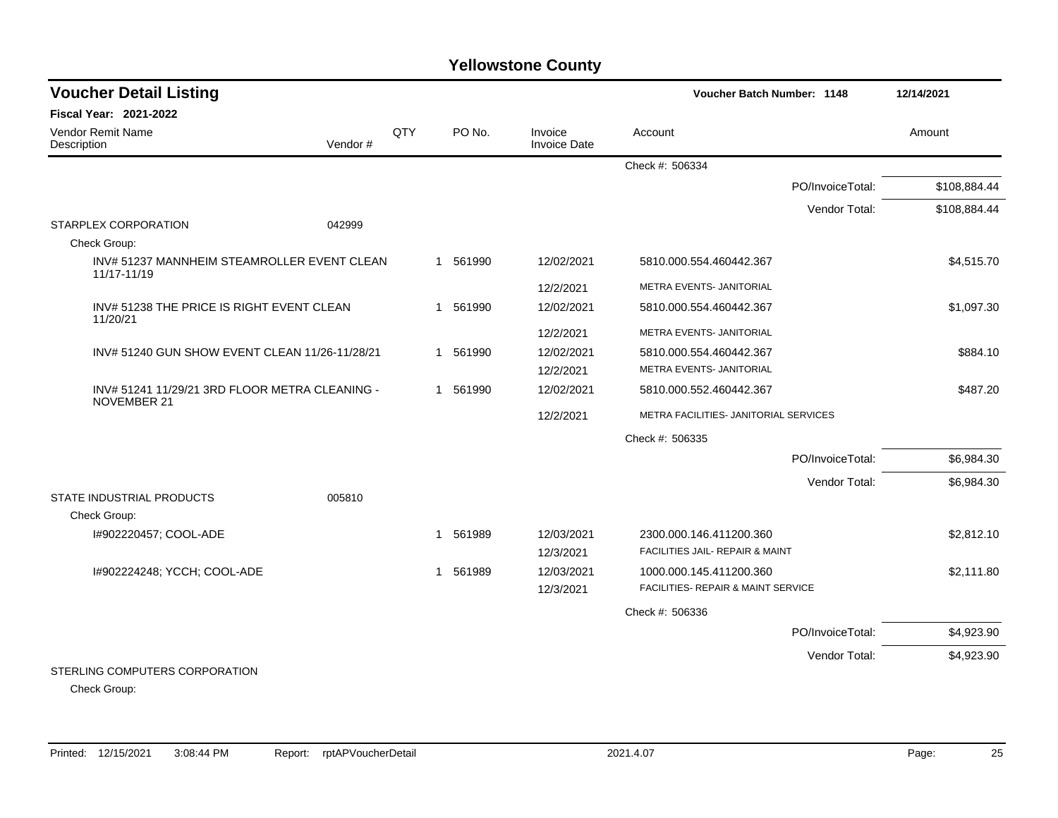| <b>Voucher Detail Listing</b>                                        |         |     |          |                                | Voucher Batch Number: 1148                 |                  | 12/14/2021   |
|----------------------------------------------------------------------|---------|-----|----------|--------------------------------|--------------------------------------------|------------------|--------------|
| Fiscal Year: 2021-2022                                               |         |     |          |                                |                                            |                  |              |
| <b>Vendor Remit Name</b><br>Description                              | Vendor# | QTY | PO No.   | Invoice<br><b>Invoice Date</b> | Account                                    |                  | Amount       |
|                                                                      |         |     |          |                                | Check #: 506334                            |                  |              |
|                                                                      |         |     |          |                                |                                            | PO/InvoiceTotal: | \$108,884.44 |
|                                                                      |         |     |          |                                |                                            | Vendor Total:    | \$108,884.44 |
| STARPLEX CORPORATION                                                 | 042999  |     |          |                                |                                            |                  |              |
| Check Group:                                                         |         |     |          |                                |                                            |                  |              |
| INV# 51237 MANNHEIM STEAMROLLER EVENT CLEAN<br>11/17-11/19           |         |     | 1 561990 | 12/02/2021                     | 5810.000.554.460442.367                    |                  | \$4,515.70   |
|                                                                      |         |     |          | 12/2/2021                      | METRA EVENTS- JANITORIAL                   |                  |              |
| INV# 51238 THE PRICE IS RIGHT EVENT CLEAN<br>11/20/21                |         |     | 1 561990 | 12/02/2021                     | 5810.000.554.460442.367                    |                  | \$1,097.30   |
|                                                                      |         |     |          | 12/2/2021                      | METRA EVENTS- JANITORIAL                   |                  |              |
| INV# 51240 GUN SHOW EVENT CLEAN 11/26-11/28/21                       |         |     | 1 561990 | 12/02/2021                     | 5810.000.554.460442.367                    |                  | \$884.10     |
|                                                                      |         |     |          | 12/2/2021                      | METRA EVENTS- JANITORIAL                   |                  |              |
| INV# 51241 11/29/21 3RD FLOOR METRA CLEANING -<br><b>NOVEMBER 21</b> |         |     | 1 561990 | 12/02/2021                     | 5810.000.552.460442.367                    |                  | \$487.20     |
|                                                                      |         |     |          | 12/2/2021                      | METRA FACILITIES- JANITORIAL SERVICES      |                  |              |
|                                                                      |         |     |          |                                | Check #: 506335                            |                  |              |
|                                                                      |         |     |          |                                |                                            | PO/InvoiceTotal: | \$6,984.30   |
|                                                                      |         |     |          |                                |                                            | Vendor Total:    | \$6,984.30   |
| STATE INDUSTRIAL PRODUCTS                                            | 005810  |     |          |                                |                                            |                  |              |
| Check Group:                                                         |         |     |          |                                |                                            |                  |              |
| I#902220457; COOL-ADE                                                |         |     | 1 561989 | 12/03/2021                     | 2300.000.146.411200.360                    |                  | \$2,812.10   |
|                                                                      |         |     |          | 12/3/2021                      | <b>FACILITIES JAIL- REPAIR &amp; MAINT</b> |                  |              |
| I#902224248; YCCH; COOL-ADE                                          |         |     | 1 561989 | 12/03/2021                     | 1000.000.145.411200.360                    |                  | \$2,111.80   |
|                                                                      |         |     |          | 12/3/2021                      | FACILITIES- REPAIR & MAINT SERVICE         |                  |              |
|                                                                      |         |     |          |                                | Check #: 506336                            |                  |              |
|                                                                      |         |     |          |                                |                                            | PO/InvoiceTotal: | \$4,923.90   |
|                                                                      |         |     |          |                                |                                            | Vendor Total:    | \$4,923.90   |
| STERLING COMPUTERS CORPORATION                                       |         |     |          |                                |                                            |                  |              |

Check Group: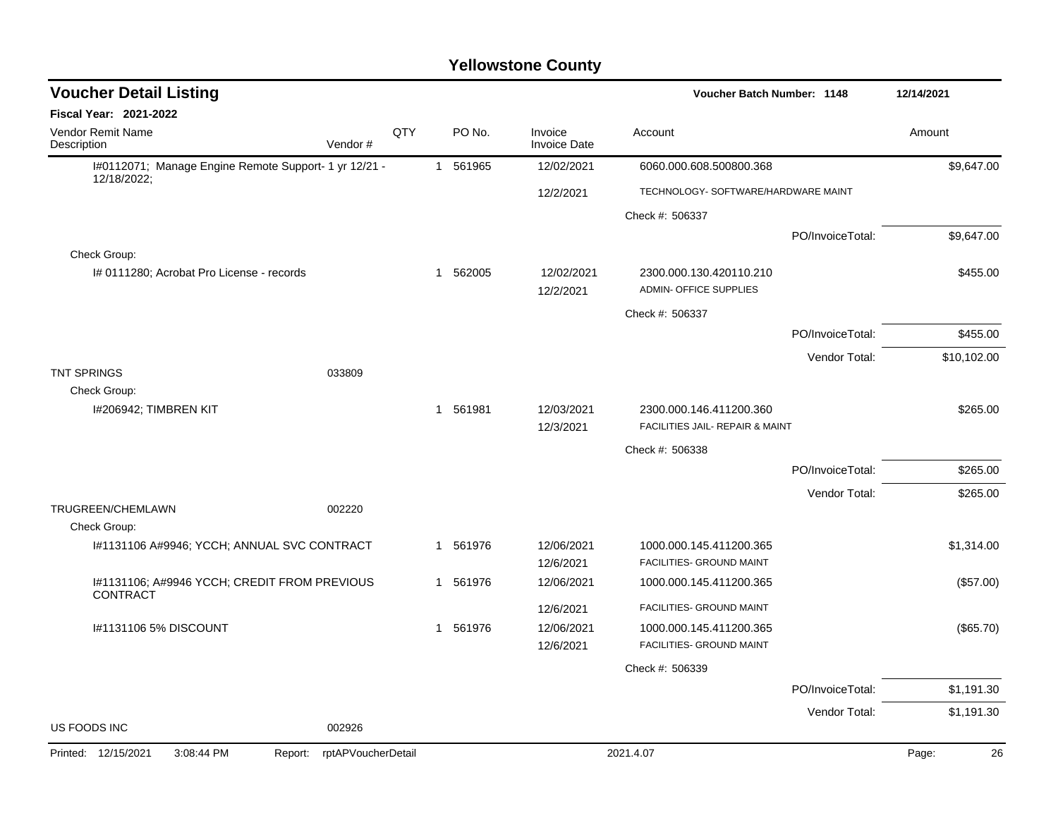| <b>Voucher Detail Listing</b>                            |                               |     |              |          |                                | Voucher Batch Number: 1148                               |                  | 12/14/2021  |
|----------------------------------------------------------|-------------------------------|-----|--------------|----------|--------------------------------|----------------------------------------------------------|------------------|-------------|
| <b>Fiscal Year: 2021-2022</b>                            |                               |     |              |          |                                |                                                          |                  |             |
| <b>Vendor Remit Name</b><br>Description                  | Vendor#                       | QTY |              | PO No.   | Invoice<br><b>Invoice Date</b> | Account                                                  |                  | Amount      |
| I#0112071; Manage Engine Remote Support- 1 yr 12/21 -    |                               |     |              | 1 561965 | 12/02/2021                     | 6060.000.608.500800.368                                  |                  | \$9,647.00  |
| 12/18/2022;                                              |                               |     |              |          | 12/2/2021                      | TECHNOLOGY- SOFTWARE/HARDWARE MAINT                      |                  |             |
|                                                          |                               |     |              |          |                                | Check #: 506337                                          |                  |             |
|                                                          |                               |     |              |          |                                |                                                          | PO/InvoiceTotal: | \$9,647.00  |
| Check Group:                                             |                               |     |              |          |                                |                                                          |                  |             |
| I# 0111280; Acrobat Pro License - records                |                               |     |              | 1 562005 | 12/02/2021<br>12/2/2021        | 2300.000.130.420110.210<br><b>ADMIN- OFFICE SUPPLIES</b> |                  | \$455.00    |
|                                                          |                               |     |              |          |                                | Check #: 506337                                          |                  |             |
|                                                          |                               |     |              |          |                                |                                                          | PO/InvoiceTotal: | \$455.00    |
|                                                          |                               |     |              |          |                                |                                                          | Vendor Total:    | \$10,102.00 |
| <b>TNT SPRINGS</b><br>Check Group:                       | 033809                        |     |              |          |                                |                                                          |                  |             |
| I#206942; TIMBREN KIT                                    |                               |     | $\mathbf{1}$ | 561981   | 12/03/2021                     | 2300.000.146.411200.360                                  |                  | \$265.00    |
|                                                          |                               |     |              |          | 12/3/2021                      | FACILITIES JAIL- REPAIR & MAINT                          |                  |             |
|                                                          |                               |     |              |          |                                | Check #: 506338                                          |                  |             |
|                                                          |                               |     |              |          |                                |                                                          | PO/InvoiceTotal: | \$265.00    |
|                                                          |                               |     |              |          |                                |                                                          | Vendor Total:    | \$265.00    |
| TRUGREEN/CHEMLAWN<br>Check Group:                        | 002220                        |     |              |          |                                |                                                          |                  |             |
| I#1131106 A#9946; YCCH; ANNUAL SVC CONTRACT              |                               |     |              | 1 561976 | 12/06/2021<br>12/6/2021        | 1000.000.145.411200.365<br>FACILITIES- GROUND MAINT      |                  | \$1,314.00  |
| I#1131106; A#9946 YCCH; CREDIT FROM PREVIOUS<br>CONTRACT |                               |     |              | 1 561976 | 12/06/2021                     | 1000.000.145.411200.365                                  |                  | (\$57.00)   |
|                                                          |                               |     |              |          | 12/6/2021                      | FACILITIES- GROUND MAINT                                 |                  |             |
| I#1131106 5% DISCOUNT                                    |                               |     |              | 1 561976 | 12/06/2021                     | 1000.000.145.411200.365                                  |                  | (\$65.70)   |
|                                                          |                               |     |              |          | 12/6/2021                      | FACILITIES- GROUND MAINT                                 |                  |             |
|                                                          |                               |     |              |          |                                | Check #: 506339                                          |                  |             |
|                                                          |                               |     |              |          |                                |                                                          | PO/InvoiceTotal: | \$1,191.30  |
| US FOODS INC                                             | 002926                        |     |              |          |                                |                                                          | Vendor Total:    | \$1,191.30  |
|                                                          |                               |     |              |          |                                |                                                          |                  |             |
| Printed: 12/15/2021<br>3:08:44 PM                        | rptAPVoucherDetail<br>Report: |     |              |          |                                | 2021.4.07                                                |                  | 26<br>Page: |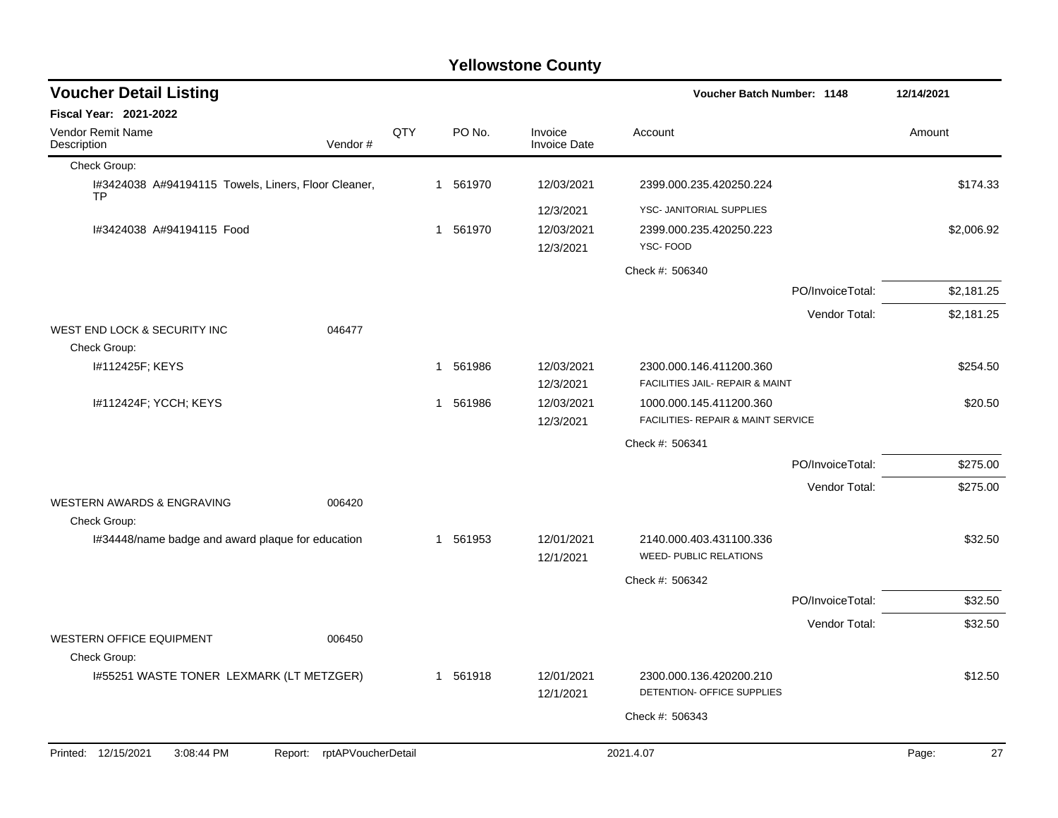| <b>Voucher Detail Listing</b>                                     |                               |     |              |                                | Voucher Batch Number: 1148          |                  | 12/14/2021  |
|-------------------------------------------------------------------|-------------------------------|-----|--------------|--------------------------------|-------------------------------------|------------------|-------------|
| <b>Fiscal Year: 2021-2022</b>                                     |                               |     |              |                                |                                     |                  |             |
| Vendor Remit Name<br>Description                                  | Vendor#                       | QTY | PO No.       | Invoice<br><b>Invoice Date</b> | Account                             |                  | Amount      |
| Check Group:                                                      |                               |     |              |                                |                                     |                  |             |
| I#3424038 A#94194115 Towels, Liners, Floor Cleaner,<br><b>TP</b>  |                               |     | 1 561970     | 12/03/2021                     | 2399.000.235.420250.224             |                  | \$174.33    |
|                                                                   |                               |     |              | 12/3/2021                      | YSC- JANITORIAL SUPPLIES            |                  |             |
| I#3424038 A#94194115 Food                                         |                               |     | 1 561970     | 12/03/2021<br>12/3/2021        | 2399.000.235.420250.223<br>YSC-FOOD |                  | \$2,006.92  |
|                                                                   |                               |     |              |                                | Check #: 506340                     |                  |             |
|                                                                   |                               |     |              |                                |                                     | PO/InvoiceTotal: | \$2,181.25  |
|                                                                   |                               |     |              |                                |                                     | Vendor Total:    | \$2,181.25  |
| WEST END LOCK & SECURITY INC<br>Check Group:                      | 046477                        |     |              |                                |                                     |                  |             |
| I#112425F; KEYS                                                   |                               |     | 1 561986     | 12/03/2021                     | 2300.000.146.411200.360             |                  | \$254.50    |
|                                                                   |                               |     |              | 12/3/2021                      | FACILITIES JAIL- REPAIR & MAINT     |                  |             |
| I#112424F; YCCH; KEYS                                             |                               |     | 1 561986     | 12/03/2021                     | 1000.000.145.411200.360             |                  | \$20.50     |
|                                                                   |                               |     |              | 12/3/2021                      | FACILITIES- REPAIR & MAINT SERVICE  |                  |             |
|                                                                   |                               |     |              |                                | Check #: 506341                     |                  |             |
|                                                                   |                               |     |              |                                |                                     | PO/InvoiceTotal: | \$275.00    |
|                                                                   |                               |     |              |                                |                                     | Vendor Total:    | \$275.00    |
| <b>WESTERN AWARDS &amp; ENGRAVING</b>                             | 006420                        |     |              |                                |                                     |                  |             |
| Check Group:<br>I#34448/name badge and award plaque for education |                               |     | 561953<br>-1 | 12/01/2021                     | 2140.000.403.431100.336             |                  | \$32.50     |
|                                                                   |                               |     |              | 12/1/2021                      | WEED- PUBLIC RELATIONS              |                  |             |
|                                                                   |                               |     |              |                                | Check #: 506342                     |                  |             |
|                                                                   |                               |     |              |                                |                                     | PO/InvoiceTotal: | \$32.50     |
|                                                                   |                               |     |              |                                |                                     | Vendor Total:    | \$32.50     |
| WESTERN OFFICE EQUIPMENT<br>Check Group:                          | 006450                        |     |              |                                |                                     |                  |             |
| 1#55251 WASTE TONER LEXMARK (LT METZGER)                          |                               |     | 1 561918     | 12/01/2021                     | 2300.000.136.420200.210             |                  | \$12.50     |
|                                                                   |                               |     |              | 12/1/2021                      | DETENTION- OFFICE SUPPLIES          |                  |             |
|                                                                   |                               |     |              |                                | Check #: 506343                     |                  |             |
|                                                                   |                               |     |              |                                |                                     |                  |             |
| Printed: 12/15/2021<br>3:08:44 PM                                 | rptAPVoucherDetail<br>Report: |     |              |                                | 2021.4.07                           |                  | 27<br>Page: |